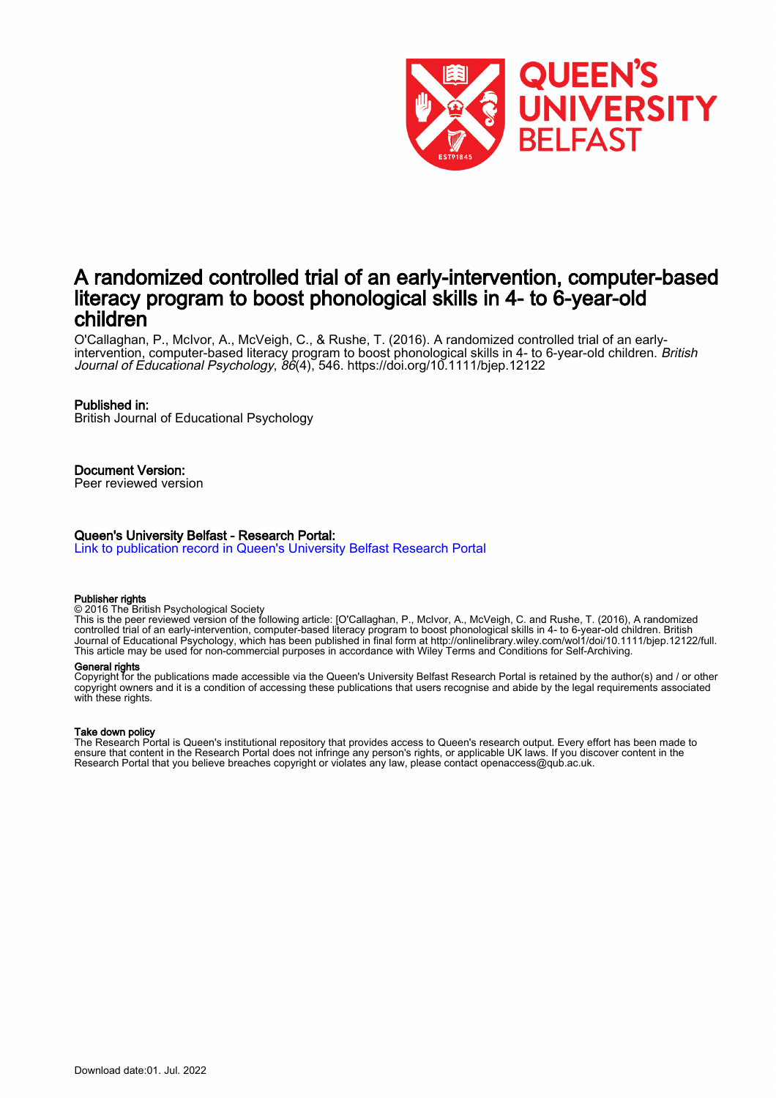

## A randomized controlled trial of an early-intervention, computer-based literacy program to boost phonological skills in 4- to 6-year-old children

O'Callaghan, P., McIvor, A., McVeigh, C., & Rushe, T. (2016). A randomized controlled trial of an earlyintervention, computer-based literacy program to boost phonological skills in 4- to 6-year-old children. British Journal of Educational Psychology, 86(4), 546.<https://doi.org/10.1111/bjep.12122>

#### Published in:

British Journal of Educational Psychology

Document Version:

Peer reviewed version

#### Queen's University Belfast - Research Portal:

[Link to publication record in Queen's University Belfast Research Portal](https://pure.qub.ac.uk/en/publications/8865cc9d-8dc1-4a69-9c66-e38f2494be58)

#### Publisher rights

© 2016 The British Psychological Society

This is the peer reviewed version of the following article: [O'Callaghan, P., McIvor, A., McVeigh, C. and Rushe, T. (2016), A randomized controlled trial of an early-intervention, computer-based literacy program to boost phonological skills in 4- to 6-year-old children. British Journal of Educational Psychology, which has been published in final form at http://onlinelibrary.wiley.com/wol1/doi/10.1111/bjep.12122/full. This article may be used for non-commercial purposes in accordance with Wiley Terms and Conditions for Self-Archiving.

#### General rights

Copyright for the publications made accessible via the Queen's University Belfast Research Portal is retained by the author(s) and / or other copyright owners and it is a condition of accessing these publications that users recognise and abide by the legal requirements associated with these rights.

#### Take down policy

The Research Portal is Queen's institutional repository that provides access to Queen's research output. Every effort has been made to ensure that content in the Research Portal does not infringe any person's rights, or applicable UK laws. If you discover content in the Research Portal that you believe breaches copyright or violates any law, please contact openaccess@qub.ac.uk.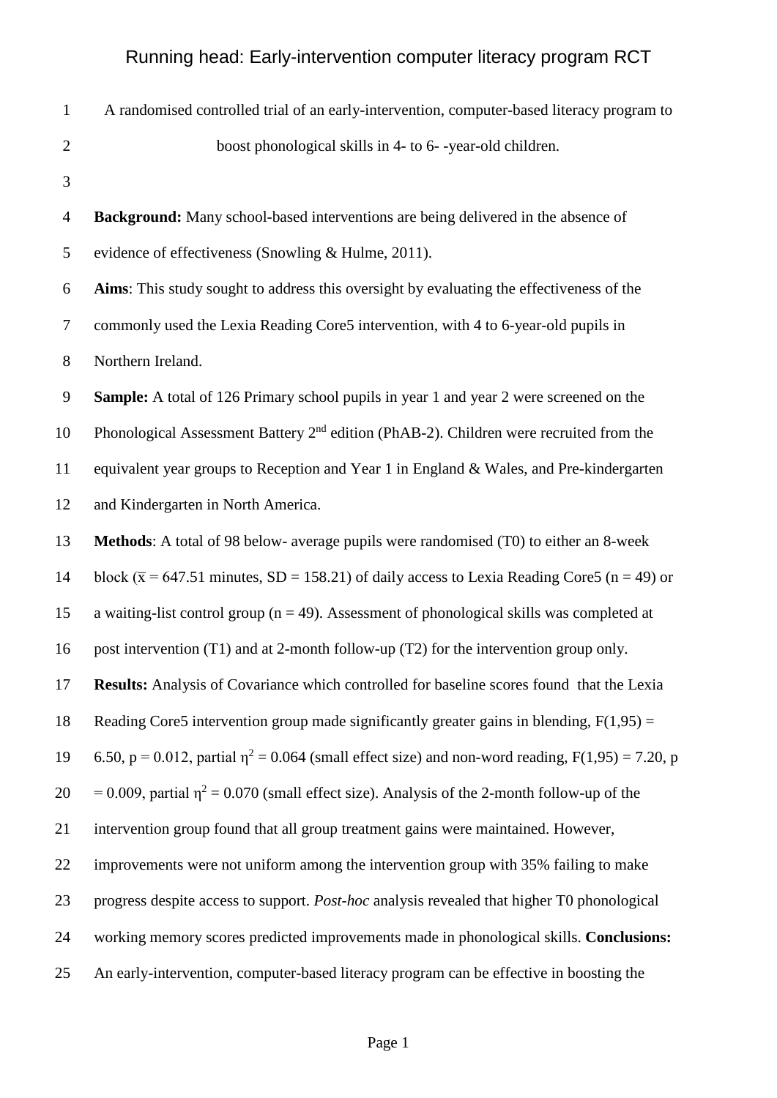| $\mathbf{1}$     | A randomised controlled trial of an early-intervention, computer-based literacy program to            |
|------------------|-------------------------------------------------------------------------------------------------------|
| $\overline{2}$   | boost phonological skills in 4- to 6--year-old children.                                              |
| 3                |                                                                                                       |
| $\overline{4}$   | <b>Background:</b> Many school-based interventions are being delivered in the absence of              |
| 5                | evidence of effectiveness (Snowling & Hulme, 2011).                                                   |
| 6                | Aims: This study sought to address this oversight by evaluating the effectiveness of the              |
| $\overline{7}$   | commonly used the Lexia Reading Core5 intervention, with 4 to 6-year-old pupils in                    |
| $8\,$            | Northern Ireland.                                                                                     |
| $\boldsymbol{9}$ | <b>Sample:</b> A total of 126 Primary school pupils in year 1 and year 2 were screened on the         |
| 10               | Phonological Assessment Battery 2 <sup>nd</sup> edition (PhAB-2). Children were recruited from the    |
| 11               | equivalent year groups to Reception and Year 1 in England & Wales, and Pre-kindergarten               |
| 12               | and Kindergarten in North America.                                                                    |
| 13               | <b>Methods:</b> A total of 98 below- average pupils were randomised (T0) to either an 8-week          |
| 14               | block ( $\bar{x}$ = 647.51 minutes, SD = 158.21) of daily access to Lexia Reading Core5 (n = 49) or   |
| 15               | a waiting-list control group ( $n = 49$ ). Assessment of phonological skills was completed at         |
| 16               | post intervention (T1) and at 2-month follow-up (T2) for the intervention group only.                 |
| 17               | Results: Analysis of Covariance which controlled for baseline scores found that the Lexia             |
| 18               | Reading Core5 intervention group made significantly greater gains in blending, $F(1,95) =$            |
| 19               | 6.50, p = 0.012, partial $\eta^2$ = 0.064 (small effect size) and non-word reading, F(1,95) = 7.20, p |
| 20               | $= 0.009$ , partial $\eta^2 = 0.070$ (small effect size). Analysis of the 2-month follow-up of the    |
| 21               | intervention group found that all group treatment gains were maintained. However,                     |
| 22               | improvements were not uniform among the intervention group with 35% failing to make                   |
| 23               | progress despite access to support. <i>Post-hoc</i> analysis revealed that higher T0 phonological     |
| 24               | working memory scores predicted improvements made in phonological skills. Conclusions:                |
| 25               | An early-intervention, computer-based literacy program can be effective in boosting the               |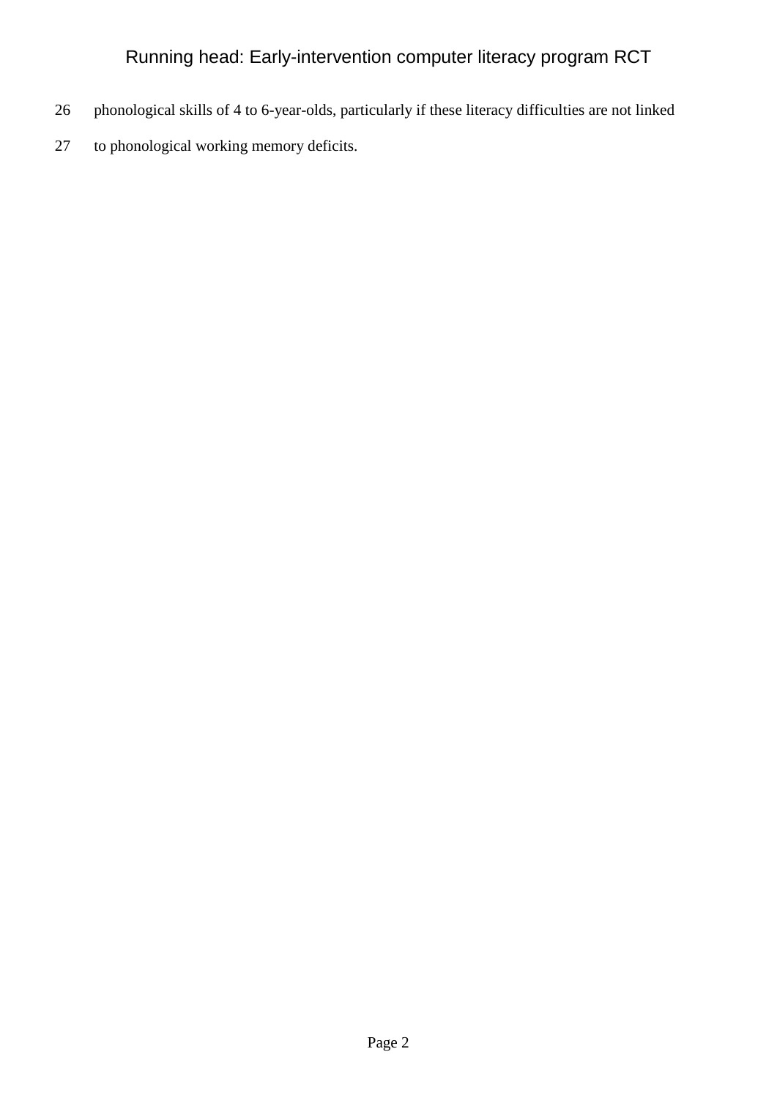- 26 phonological skills of 4 to 6-year-olds, particularly if these literacy difficulties are not linked
- 27 to phonological working memory deficits.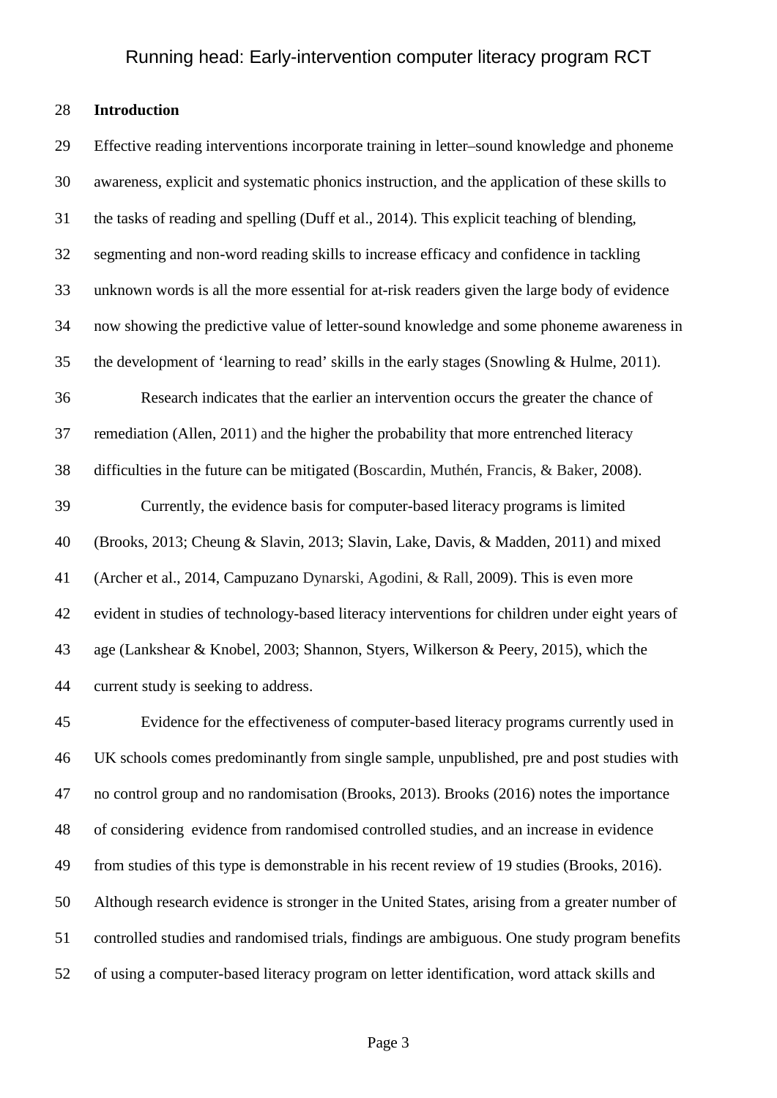### **Introduction**

 Effective reading interventions incorporate training in letter–sound knowledge and phoneme awareness, explicit and systematic phonics instruction, and the application of these skills to the tasks of reading and spelling (Duff et al., 2014). This explicit teaching of blending, segmenting and non-word reading skills to increase efficacy and confidence in tackling unknown words is all the more essential for at-risk readers given the large body of evidence now showing the predictive value of letter-sound knowledge and some phoneme awareness in the development of 'learning to read' skills in the early stages (Snowling & Hulme, 2011). Research indicates that the earlier an intervention occurs the greater the chance of remediation (Allen, 2011) and the higher the probability that more entrenched literacy difficulties in the future can be mitigated (Boscardin, Muthén, Francis, & Baker, 2008). Currently, the evidence basis for computer-based literacy programs is limited (Brooks, 2013; Cheung & Slavin, 2013; Slavin, Lake, Davis, & Madden, 2011) and mixed (Archer et al., 2014, Campuzano Dynarski, Agodini, & Rall, 2009). This is even more evident in studies of technology-based literacy interventions for children under eight years of age (Lankshear & Knobel, 2003; Shannon, Styers, Wilkerson & Peery, 2015), which the current study is seeking to address.

 Evidence for the effectiveness of computer-based literacy programs currently used in UK schools comes predominantly from single sample, unpublished, pre and post studies with no control group and no randomisation (Brooks, 2013). Brooks (2016) notes the importance of considering evidence from randomised controlled studies, and an increase in evidence from studies of this type is demonstrable in his recent review of 19 studies (Brooks, 2016). Although research evidence is stronger in the United States, arising from a greater number of controlled studies and randomised trials, findings are ambiguous. One study program benefits of using a computer-based literacy program on letter identification, word attack skills and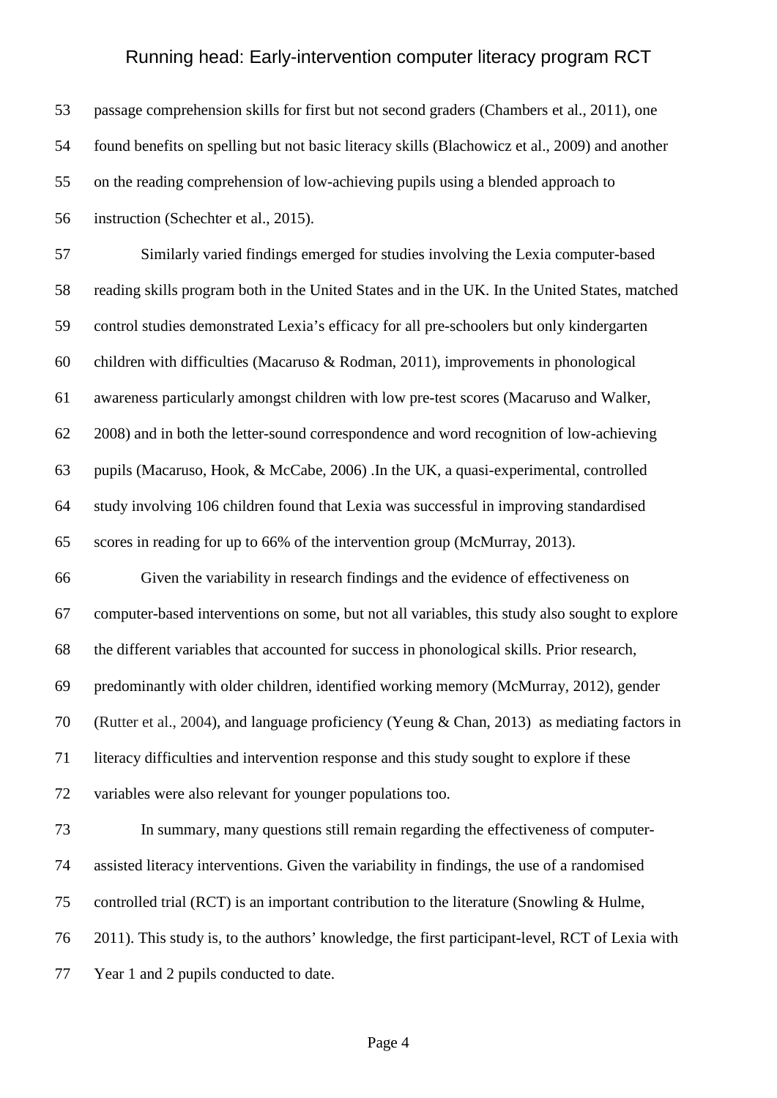| 53 | passage comprehension skills for first but not second graders (Chambers et al., 2011), one      |
|----|-------------------------------------------------------------------------------------------------|
| 54 | found benefits on spelling but not basic literacy skills (Blachowicz et al., 2009) and another  |
| 55 | on the reading comprehension of low-achieving pupils using a blended approach to                |
| 56 | instruction (Schechter et al., 2015).                                                           |
| 57 | Similarly varied findings emerged for studies involving the Lexia computer-based                |
| 58 | reading skills program both in the United States and in the UK. In the United States, matched   |
| 59 | control studies demonstrated Lexia's efficacy for all pre-schoolers but only kindergarten       |
| 60 | children with difficulties (Macaruso & Rodman, 2011), improvements in phonological              |
| 61 | awareness particularly amongst children with low pre-test scores (Macaruso and Walker,          |
| 62 | 2008) and in both the letter-sound correspondence and word recognition of low-achieving         |
| 63 | pupils (Macaruso, Hook, & McCabe, 2006). In the UK, a quasi-experimental, controlled            |
| 64 | study involving 106 children found that Lexia was successful in improving standardised          |
| 65 | scores in reading for up to 66% of the intervention group (McMurray, 2013).                     |
| 66 | Given the variability in research findings and the evidence of effectiveness on                 |
| 67 | computer-based interventions on some, but not all variables, this study also sought to explore  |
| 68 | the different variables that accounted for success in phonological skills. Prior research,      |
| 69 | predominantly with older children, identified working memory (McMurray, 2012), gender           |
| 70 | (Rutter et al., 2004), and language proficiency (Yeung & Chan, 2013) as mediating factors in    |
| 71 | literacy difficulties and intervention response and this study sought to explore if these       |
| 72 | variables were also relevant for younger populations too.                                       |
| 73 | In summary, many questions still remain regarding the effectiveness of computer-                |
| 74 | assisted literacy interventions. Given the variability in findings, the use of a randomised     |
| 75 | controlled trial (RCT) is an important contribution to the literature (Snowling & Hulme,        |
| 76 | 2011). This study is, to the authors' knowledge, the first participant-level, RCT of Lexia with |
| 77 | Year 1 and 2 pupils conducted to date.                                                          |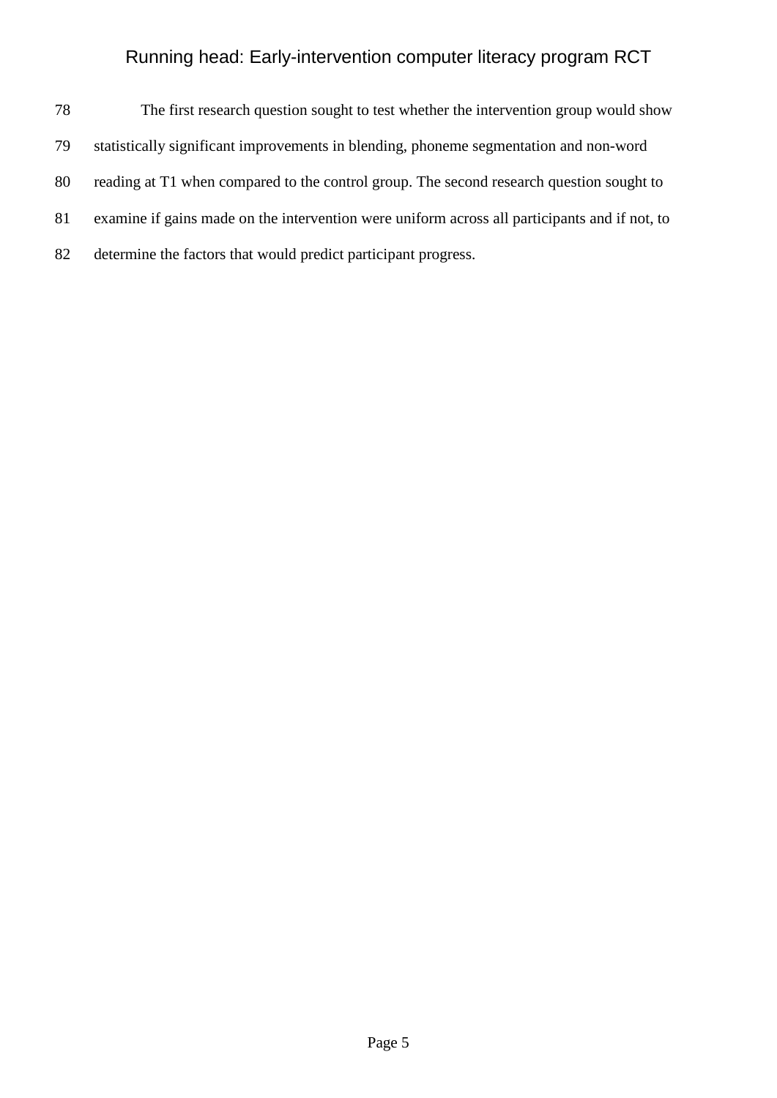| 78 | The first research question sought to test whether the intervention group would show          |
|----|-----------------------------------------------------------------------------------------------|
| 79 | statistically significant improvements in blending, phoneme segmentation and non-word         |
| 80 | reading at T1 when compared to the control group. The second research question sought to      |
| 81 | examine if gains made on the intervention were uniform across all participants and if not, to |
| 82 | determine the factors that would predict participant progress.                                |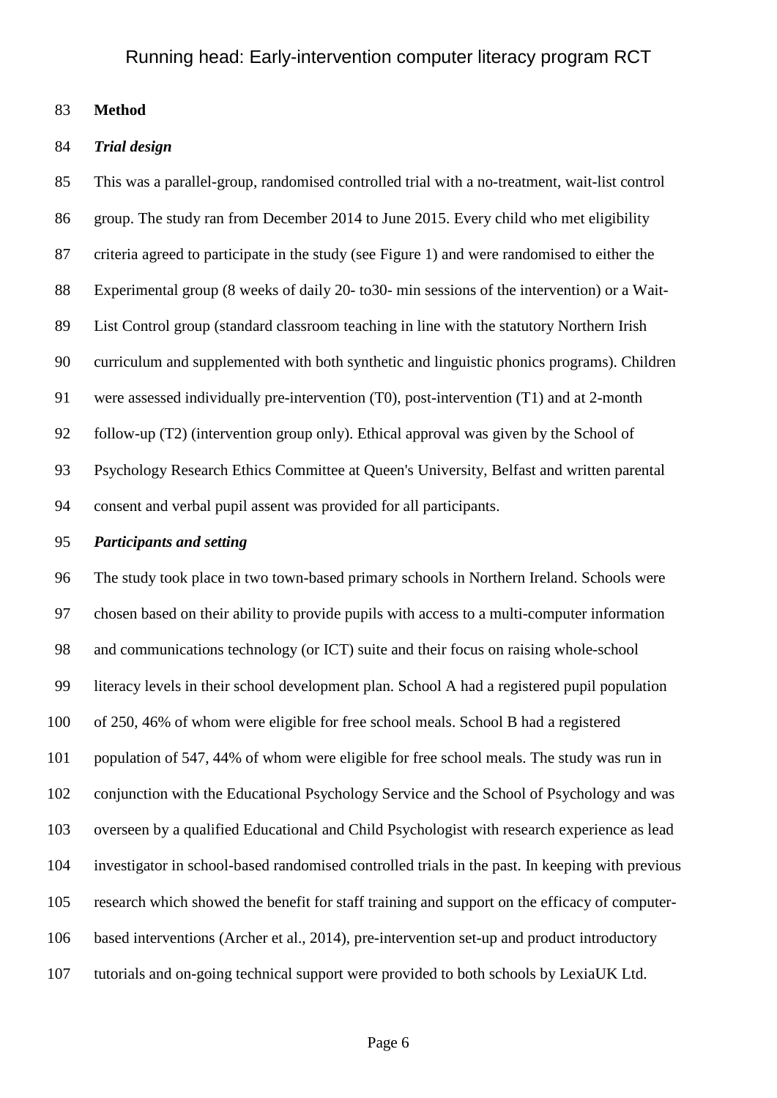**Method**

#### *Trial design*

 This was a parallel-group, randomised controlled trial with a no-treatment, wait-list control group. The study ran from December 2014 to June 2015. Every child who met eligibility criteria agreed to participate in the study (see Figure 1) and were randomised to either the Experimental group (8 weeks of daily 20- to30- min sessions of the intervention) or a Wait- List Control group (standard classroom teaching in line with the statutory Northern Irish curriculum and supplemented with both synthetic and linguistic phonics programs). Children were assessed individually pre-intervention (T0), post-intervention (T1) and at 2-month follow-up (T2) (intervention group only). Ethical approval was given by the School of Psychology Research Ethics Committee at Queen's University, Belfast and written parental consent and verbal pupil assent was provided for all participants.

### *Participants and setting*

 The study took place in two town-based primary schools in Northern Ireland. Schools were chosen based on their ability to provide pupils with access to a multi-computer information and communications technology (or ICT) suite and their focus on raising whole-school literacy levels in their school development plan. School A had a registered pupil population of 250, 46% of whom were eligible for free school meals. School B had a registered population of 547, 44% of whom were eligible for free school meals. The study was run in conjunction with the Educational Psychology Service and the School of Psychology and was overseen by a qualified Educational and Child Psychologist with research experience as lead investigator in school-based randomised controlled trials in the past. In keeping with previous research which showed the benefit for staff training and support on the efficacy of computer- based interventions (Archer et al., 2014), pre-intervention set-up and product introductory tutorials and on-going technical support were provided to both schools by LexiaUK Ltd.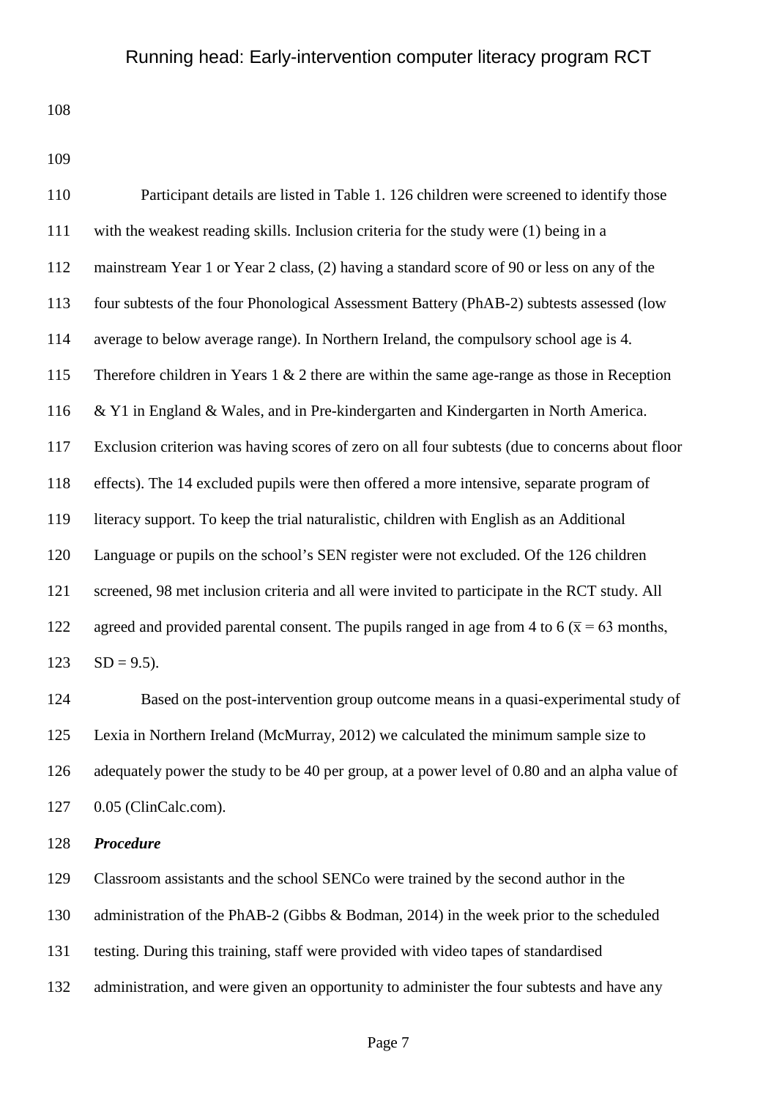| 110 | Participant details are listed in Table 1. 126 children were screened to identify those             |
|-----|-----------------------------------------------------------------------------------------------------|
| 111 | with the weakest reading skills. Inclusion criteria for the study were (1) being in a               |
| 112 | mainstream Year 1 or Year 2 class, (2) having a standard score of 90 or less on any of the          |
| 113 | four subtests of the four Phonological Assessment Battery (PhAB-2) subtests assessed (low           |
| 114 | average to below average range). In Northern Ireland, the compulsory school age is 4.               |
| 115 | Therefore children in Years $1 \& 2$ there are within the same age-range as those in Reception      |
| 116 | & Y1 in England & Wales, and in Pre-kindergarten and Kindergarten in North America.                 |
| 117 | Exclusion criterion was having scores of zero on all four subtests (due to concerns about floor     |
| 118 | effects). The 14 excluded pupils were then offered a more intensive, separate program of            |
| 119 | literacy support. To keep the trial naturalistic, children with English as an Additional            |
| 120 | Language or pupils on the school's SEN register were not excluded. Of the 126 children              |
| 121 | screened, 98 met inclusion criteria and all were invited to participate in the RCT study. All       |
| 122 | agreed and provided parental consent. The pupils ranged in age from 4 to 6 ( $\bar{x}$ = 63 months, |
| 123 | $SD = 9.5$ ).                                                                                       |

 Based on the post-intervention group outcome means in a quasi-experimental study of Lexia in Northern Ireland (McMurray, 2012) we calculated the minimum sample size to adequately power the study to be 40 per group, at a power level of 0.80 and an alpha value of 0.05 (ClinCalc.com).

### *Procedure*

 Classroom assistants and the school SENCo were trained by the second author in the administration of the PhAB-2 (Gibbs & Bodman, 2014) in the week prior to the scheduled testing. During this training, staff were provided with video tapes of standardised 132 administration, and were given an opportunity to administer the four subtests and have any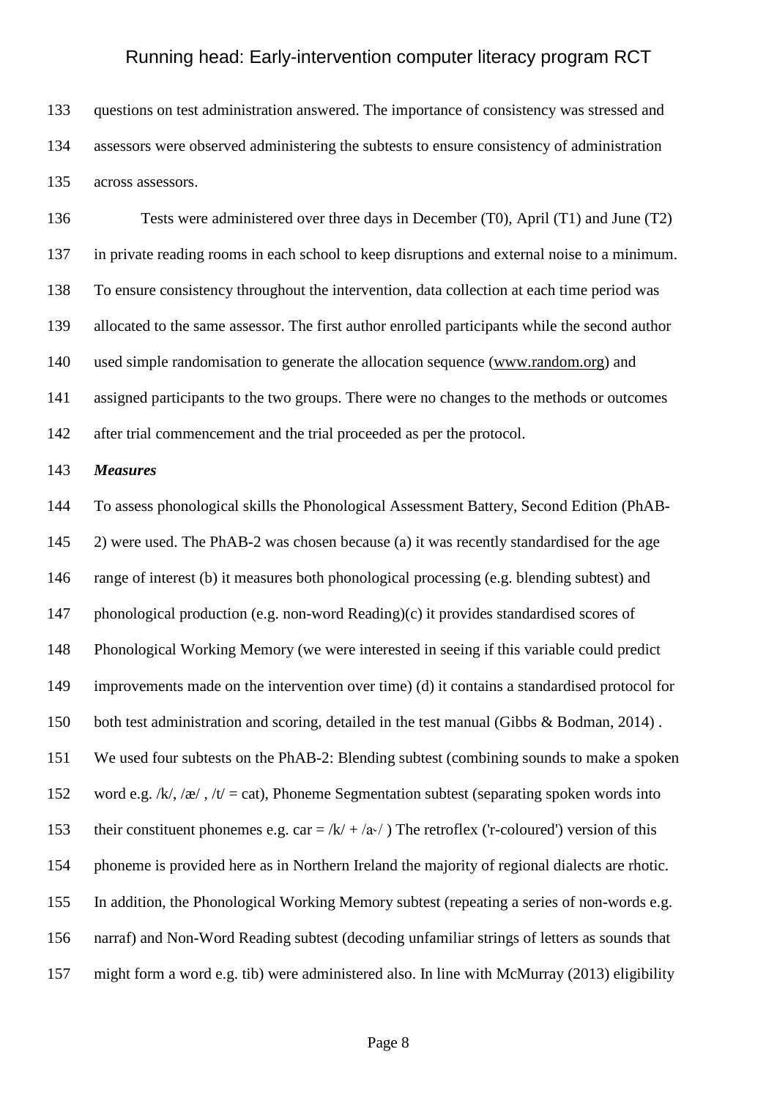questions on test administration answered. The importance of consistency was stressed and assessors were observed administering the subtests to ensure consistency of administration across assessors.

 Tests were administered over three days in December (T0), April (T1) and June (T2) in private reading rooms in each school to keep disruptions and external noise to a minimum. To ensure consistency throughout the intervention, data collection at each time period was allocated to the same assessor. The first author enrolled participants while the second author used simple randomisation to generate the allocation sequence [\(www.random.org\)](http://www.random.org/) and assigned participants to the two groups. There were no changes to the methods or outcomes after trial commencement and the trial proceeded as per the protocol.

### *Measures*

 To assess phonological skills the Phonological Assessment Battery, Second Edition (PhAB- 2) were used. The PhAB-2 was chosen because (a) it was recently standardised for the age range of interest (b) it measures both phonological processing (e.g. blending subtest) and phonological production (e.g. non-word Reading)(c) it provides standardised scores of Phonological Working Memory (we were interested in seeing if this variable could predict improvements made on the intervention over time) (d) it contains a standardised protocol for both test administration and scoring, detailed in the test manual (Gibbs & Bodman, 2014) . We used four subtests on the PhAB-2: Blending subtest (combining sounds to make a spoken 152 word e.g.  $/k/(\mathcal{R}^2, \sqrt{t}) = \text{cat}$ ), Phoneme Segmentation subtest (separating spoken words into 153 their constituent phonemes e.g. car =  $/k/ + \sqrt{\frac{a_v}{l}}$  The retroflex ('r-coloured') version of this phoneme is provided here as in Northern Ireland the majority of regional dialects are rhotic. In addition, the Phonological Working Memory subtest (repeating a series of non-words e.g. narraf) and Non-Word Reading subtest (decoding unfamiliar strings of letters as sounds that might form a word e.g. tib) were administered also. In line with McMurray (2013) eligibility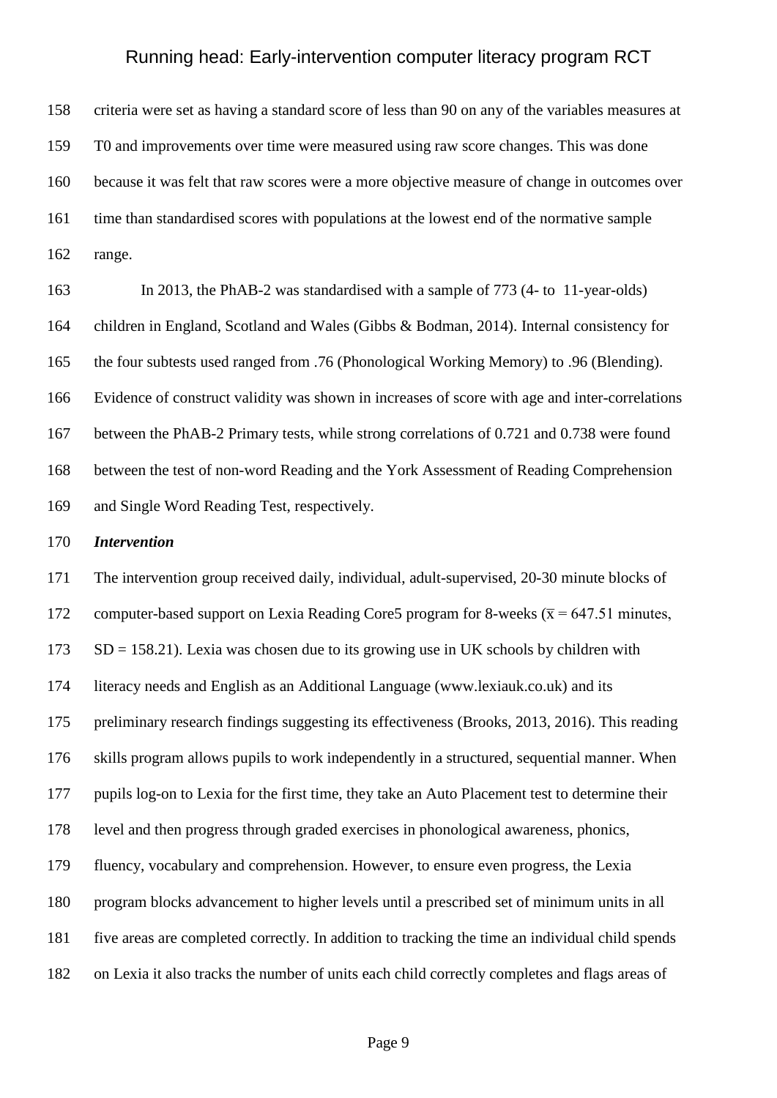criteria were set as having a standard score of less than 90 on any of the variables measures at T0 and improvements over time were measured using raw score changes. This was done because it was felt that raw scores were a more objective measure of change in outcomes over time than standardised scores with populations at the lowest end of the normative sample range.

 In 2013, the PhAB-2 was standardised with a sample of 773 (4- to 11-year-olds) children in England, Scotland and Wales (Gibbs & Bodman, 2014). Internal consistency for the four subtests used ranged from .76 (Phonological Working Memory) to .96 (Blending). Evidence of construct validity was shown in increases of score with age and inter-correlations between the PhAB-2 Primary tests, while strong correlations of 0.721 and 0.738 were found between the test of non-word Reading and the York Assessment of Reading Comprehension and Single Word Reading Test, respectively.

#### *Intervention*

 The intervention group received daily, individual, adult-supervised, 20-30 minute blocks of 172 computer-based support on Lexia Reading Core5 program for 8-weeks ( $\bar{x}$  = 647.51 minutes, SD = 158.21). Lexia was chosen due to its growing use in UK schools by children with literacy needs and English as an Additional Language (www.lexiauk.co.uk) and its preliminary research findings suggesting its effectiveness (Brooks, 2013, 2016). This reading skills program allows pupils to work independently in a structured, sequential manner. When pupils log-on to Lexia for the first time, they take an Auto Placement test to determine their level and then progress through graded exercises in phonological awareness, phonics, fluency, vocabulary and comprehension. However, to ensure even progress, the Lexia program blocks advancement to higher levels until a prescribed set of minimum units in all five areas are completed correctly. In addition to tracking the time an individual child spends on Lexia it also tracks the number of units each child correctly completes and flags areas of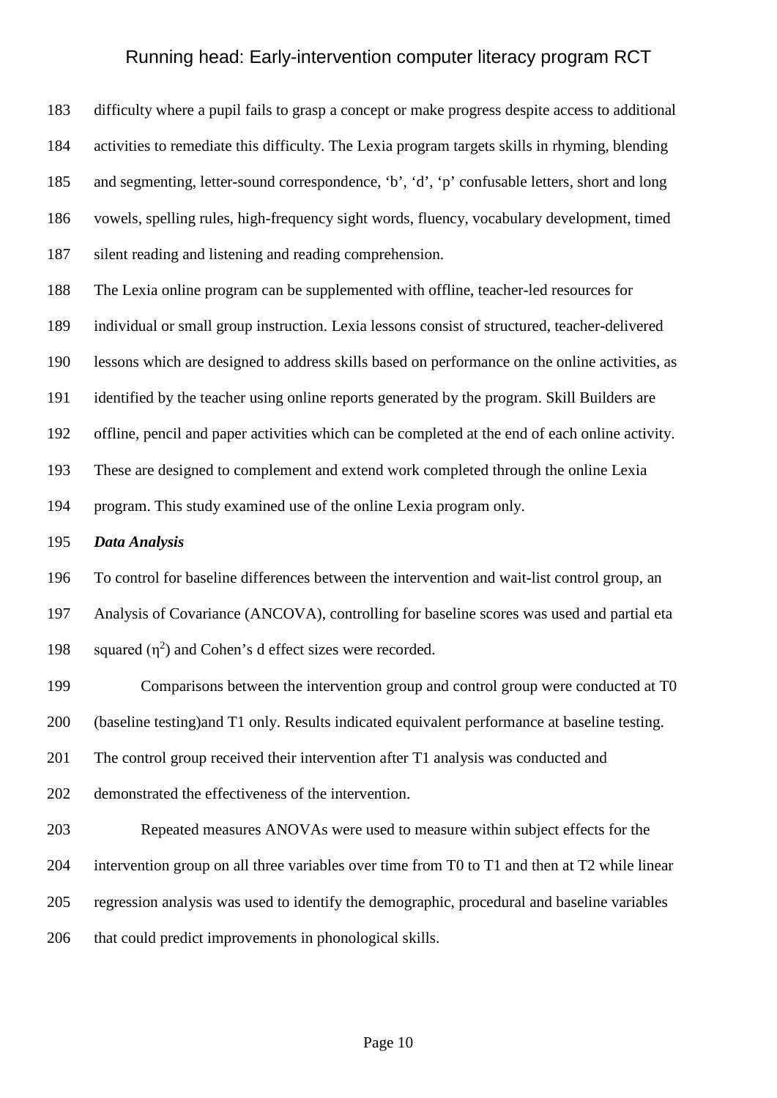difficulty where a pupil fails to grasp a concept or make progress despite access to additional activities to remediate this difficulty. The Lexia program targets skills in rhyming, blending and segmenting, letter-sound correspondence, 'b', 'd', 'p' confusable letters, short and long vowels, spelling rules, high-frequency sight words, fluency, vocabulary development, timed silent reading and listening and reading comprehension.

The Lexia online program can be supplemented with offline, teacher-led resources for

individual or small group instruction. Lexia lessons consist of structured, teacher-delivered

lessons which are designed to address skills based on performance on the online activities, as

identified by the teacher using online reports generated by the program. Skill Builders are

offline, pencil and paper activities which can be completed at the end of each online activity.

These are designed to complement and extend work completed through the online Lexia

program. This study examined use of the online Lexia program only.

### *Data Analysis*

To control for baseline differences between the intervention and wait-list control group, an

Analysis of Covariance (ANCOVA), controlling for baseline scores was used and partial eta

198 squared  $(n^2)$  and Cohen's d effect sizes were recorded.

Comparisons between the intervention group and control group were conducted at T0

(baseline testing)and T1 only. Results indicated equivalent performance at baseline testing.

The control group received their intervention after T1 analysis was conducted and

- demonstrated the effectiveness of the intervention.
- Repeated measures ANOVAs were used to measure within subject effects for the intervention group on all three variables over time from T0 to T1 and then at T2 while linear regression analysis was used to identify the demographic, procedural and baseline variables that could predict improvements in phonological skills.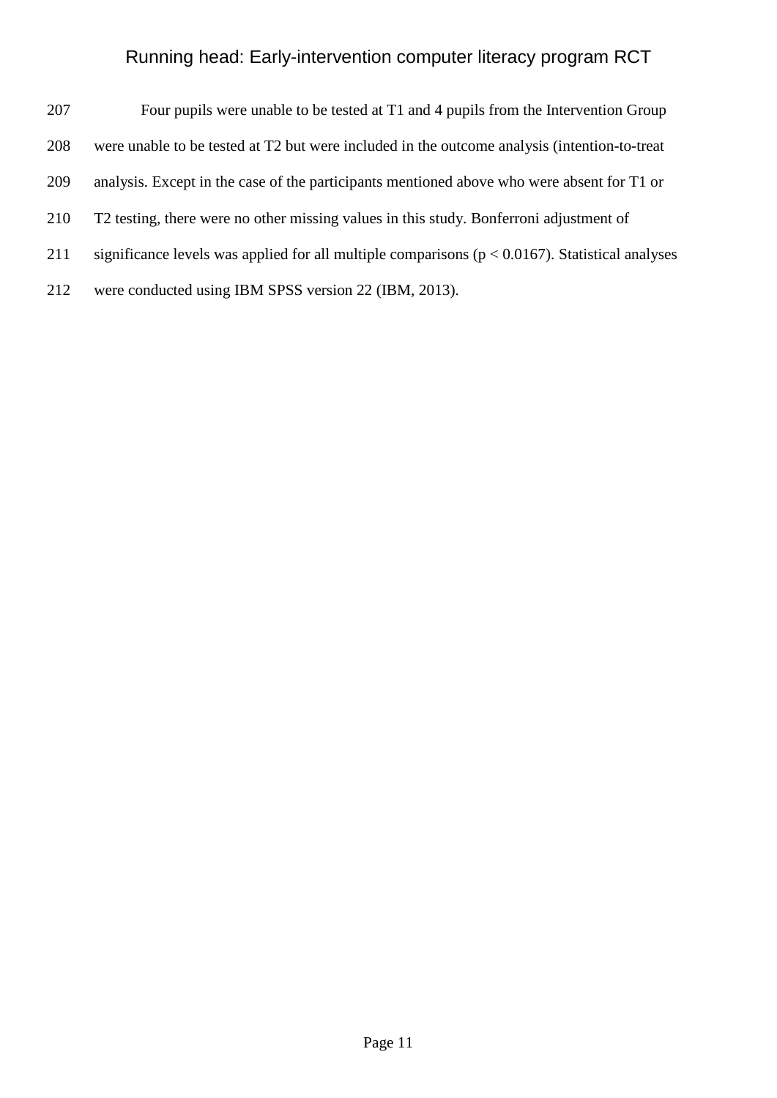- Four pupils were unable to be tested at T1 and 4 pupils from the Intervention Group
- were unable to be tested at T2 but were included in the outcome analysis (intention-to-treat
- analysis. Except in the case of the participants mentioned above who were absent for T1 or
- T2 testing, there were no other missing values in this study. Bonferroni adjustment of
- significance levels was applied for all multiple comparisons (p < 0.0167). Statistical analyses
- were conducted using IBM SPSS version 22 (IBM, 2013).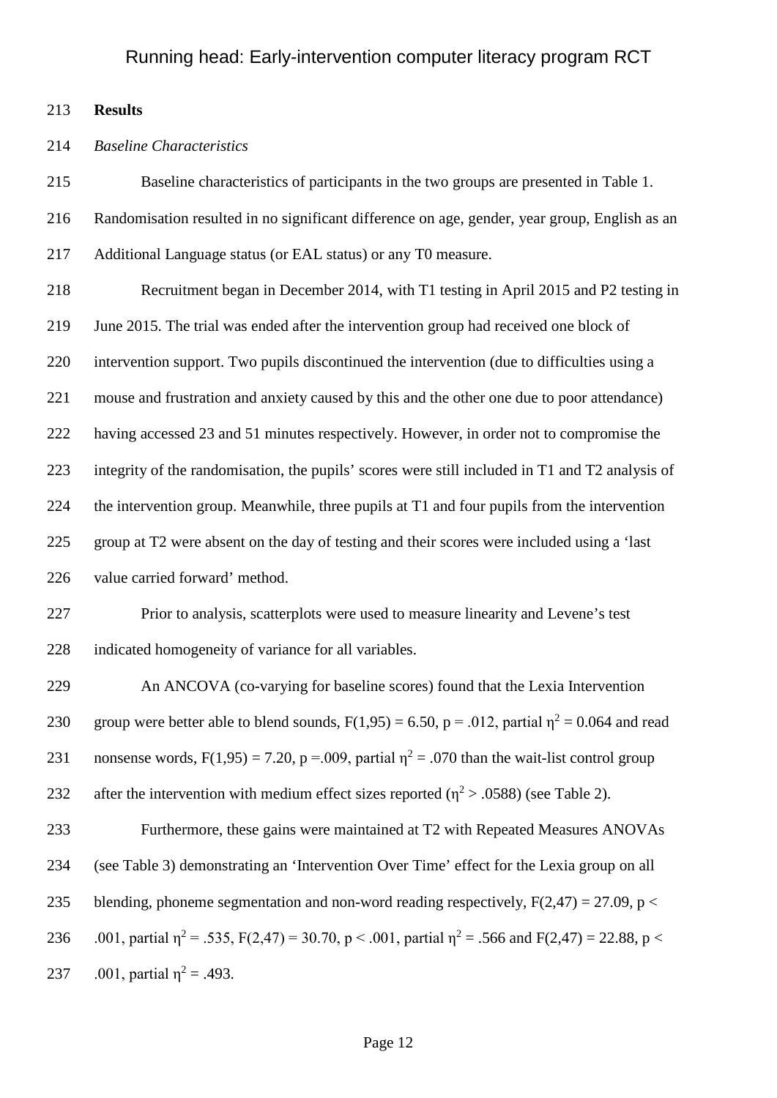**Results**

#### *Baseline Characteristics*

 Baseline characteristics of participants in the two groups are presented in Table 1. Randomisation resulted in no significant difference on age, gender, year group, English as an Additional Language status (or EAL status) or any T0 measure. Recruitment began in December 2014, with T1 testing in April 2015 and P2 testing in June 2015. The trial was ended after the intervention group had received one block of intervention support. Two pupils discontinued the intervention (due to difficulties using a mouse and frustration and anxiety caused by this and the other one due to poor attendance) having accessed 23 and 51 minutes respectively. However, in order not to compromise the integrity of the randomisation, the pupils' scores were still included in T1 and T2 analysis of the intervention group. Meanwhile, three pupils at T1 and four pupils from the intervention group at T2 were absent on the day of testing and their scores were included using a 'last value carried forward' method. Prior to analysis, scatterplots were used to measure linearity and Levene's test indicated homogeneity of variance for all variables. An ANCOVA (co-varying for baseline scores) found that the Lexia Intervention 230 group were better able to blend sounds,  $F(1,95) = 6.50$ ,  $p = .012$ , partial  $\eta^2 = 0.064$  and read 231 nonsense words,  $F(1,95) = 7.20$ , p = .009, partial  $\eta^2 = .070$  than the wait-list control group 232 after the intervention with medium effect sizes reported ( $n^2 > .0588$ ) (see Table 2). Furthermore, these gains were maintained at T2 with Repeated Measures ANOVAs

(see Table 3) demonstrating an 'Intervention Over Time' effect for the Lexia group on all

235 blending, phoneme segmentation and non-word reading respectively,  $F(2,47) = 27.09$ ,  $p <$ 

236 .001, partial  $\eta^2 = .535$ , F(2,47) = 30.70, p < .001, partial  $\eta^2 = .566$  and F(2,47) = 22.88, p < 237 .001, partial  $\eta^2 = .493$ .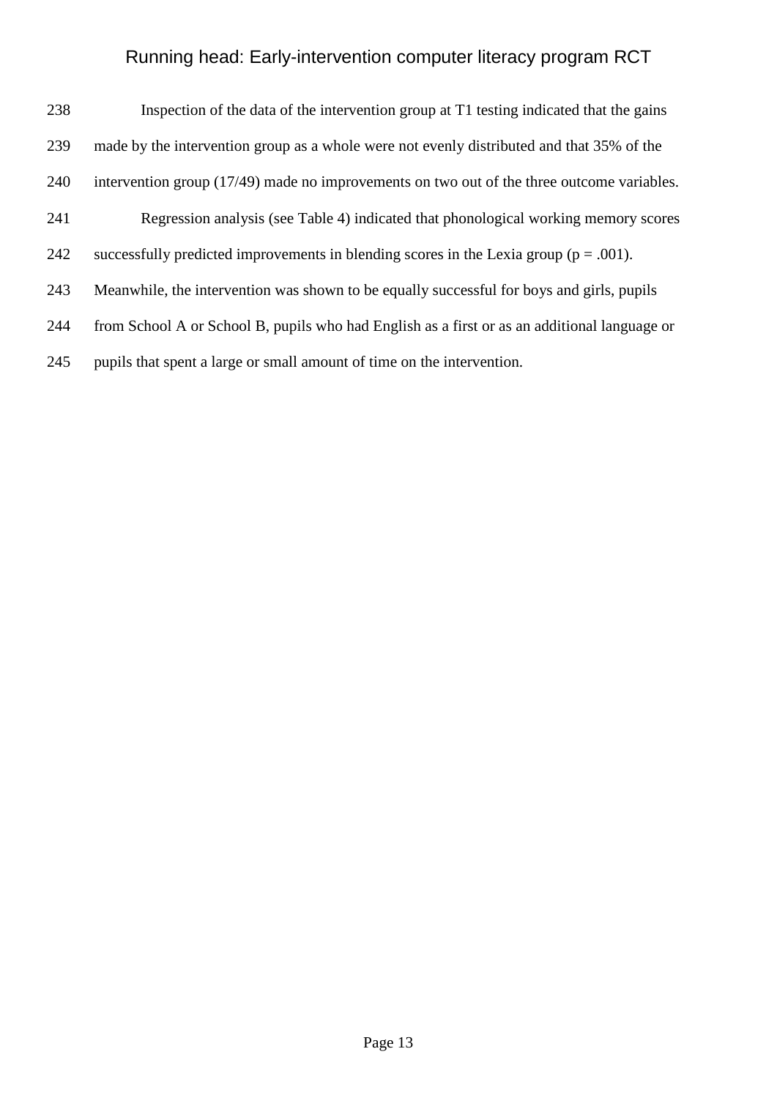| 238 | Inspection of the data of the intervention group at T1 testing indicated that the gains      |
|-----|----------------------------------------------------------------------------------------------|
| 239 | made by the intervention group as a whole were not evenly distributed and that 35% of the    |
| 240 | intervention group (17/49) made no improvements on two out of the three outcome variables.   |
| 241 | Regression analysis (see Table 4) indicated that phonological working memory scores          |
| 242 | successfully predicted improvements in blending scores in the Lexia group ( $p = .001$ ).    |
| 243 | Meanwhile, the intervention was shown to be equally successful for boys and girls, pupils    |
| 244 | from School A or School B, pupils who had English as a first or as an additional language or |
| 245 | pupils that spent a large or small amount of time on the intervention.                       |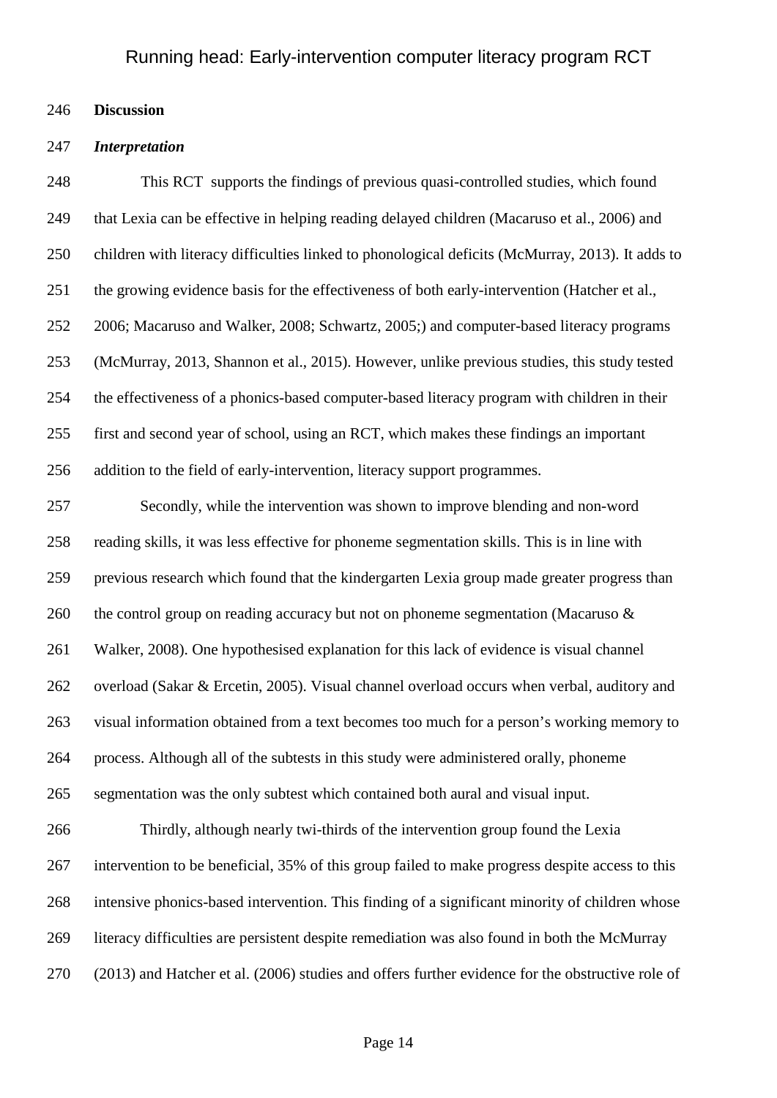### **Discussion**

#### *Interpretation*

 This RCT supports the findings of previous quasi-controlled studies, which found that Lexia can be effective in helping reading delayed children (Macaruso et al., 2006) and children with literacy difficulties linked to phonological deficits (McMurray, 2013). It adds to the growing evidence basis for the effectiveness of both early-intervention (Hatcher et al., 2006; Macaruso and Walker, 2008; Schwartz, 2005;) and computer-based literacy programs (McMurray, 2013, Shannon et al., 2015). However, unlike previous studies, this study tested the effectiveness of a phonics-based computer-based literacy program with children in their first and second year of school, using an RCT, which makes these findings an important addition to the field of early-intervention, literacy support programmes.

 Secondly, while the intervention was shown to improve blending and non-word reading skills, it was less effective for phoneme segmentation skills. This is in line with previous research which found that the kindergarten Lexia group made greater progress than 260 the control group on reading accuracy but not on phoneme segmentation (Macaruso & Walker, 2008). One hypothesised explanation for this lack of evidence is visual channel overload (Sakar & Ercetin, 2005). Visual channel overload occurs when verbal, auditory and visual information obtained from a text becomes too much for a person's working memory to process. Although all of the subtests in this study were administered orally, phoneme segmentation was the only subtest which contained both aural and visual input.

 Thirdly, although nearly twi-thirds of the intervention group found the Lexia intervention to be beneficial, 35% of this group failed to make progress despite access to this intensive phonics-based intervention. This finding of a significant minority of children whose literacy difficulties are persistent despite remediation was also found in both the McMurray (2013) and Hatcher et al. (2006) studies and offers further evidence for the obstructive role of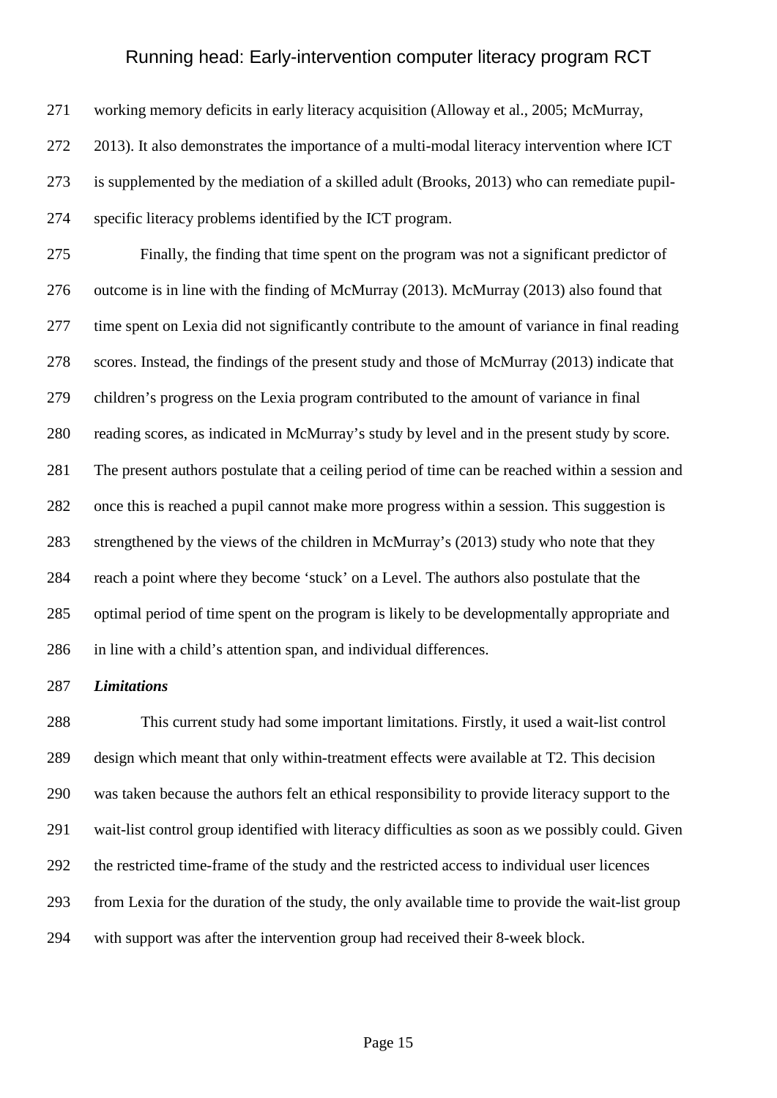working memory deficits in early literacy acquisition (Alloway et al., 2005; McMurray, 2013). It also demonstrates the importance of a multi-modal literacy intervention where ICT is supplemented by the mediation of a skilled adult (Brooks, 2013) who can remediate pupil-specific literacy problems identified by the ICT program.

 Finally, the finding that time spent on the program was not a significant predictor of outcome is in line with the finding of McMurray (2013). McMurray (2013) also found that time spent on Lexia did not significantly contribute to the amount of variance in final reading scores. Instead, the findings of the present study and those of McMurray (2013) indicate that children's progress on the Lexia program contributed to the amount of variance in final reading scores, as indicated in McMurray's study by level and in the present study by score. The present authors postulate that a ceiling period of time can be reached within a session and once this is reached a pupil cannot make more progress within a session. This suggestion is strengthened by the views of the children in McMurray's (2013) study who note that they reach a point where they become 'stuck' on a Level. The authors also postulate that the optimal period of time spent on the program is likely to be developmentally appropriate and in line with a child's attention span, and individual differences.

### *Limitations*

 This current study had some important limitations. Firstly, it used a wait-list control design which meant that only within-treatment effects were available at T2. This decision was taken because the authors felt an ethical responsibility to provide literacy support to the wait-list control group identified with literacy difficulties as soon as we possibly could. Given the restricted time-frame of the study and the restricted access to individual user licences from Lexia for the duration of the study, the only available time to provide the wait-list group with support was after the intervention group had received their 8-week block.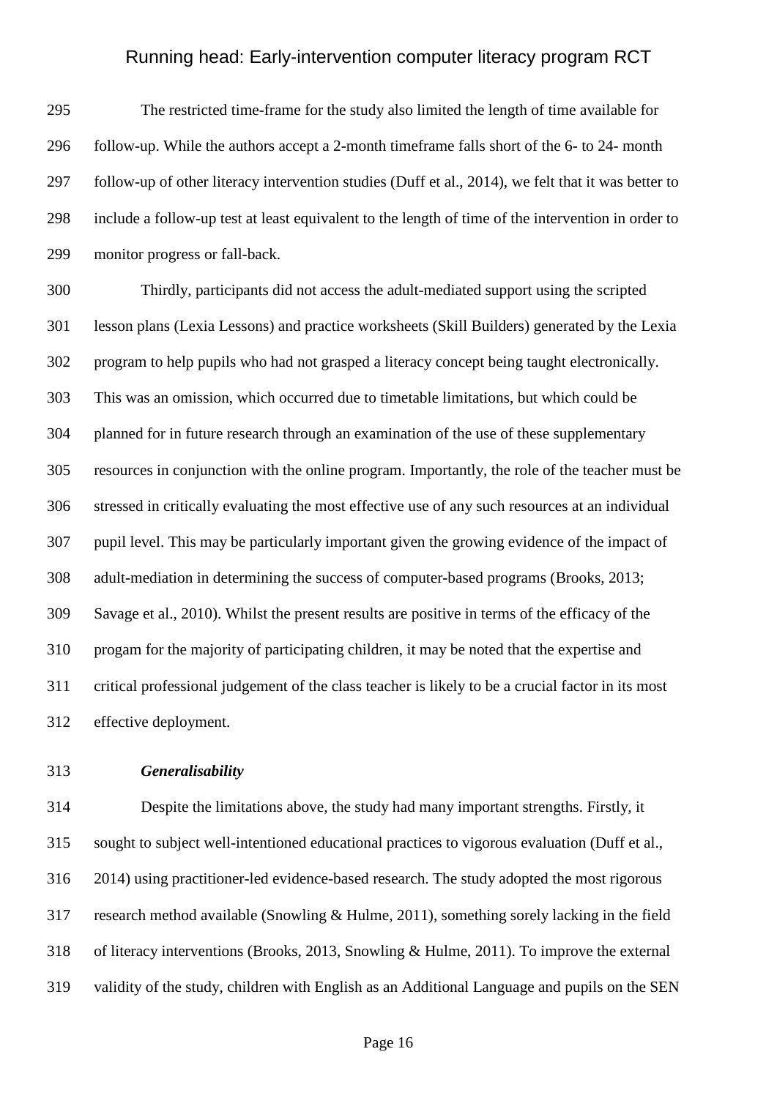The restricted time-frame for the study also limited the length of time available for follow-up. While the authors accept a 2-month timeframe falls short of the 6- to 24- month follow-up of other literacy intervention studies (Duff et al., 2014), we felt that it was better to include a follow-up test at least equivalent to the length of time of the intervention in order to monitor progress or fall-back.

 Thirdly, participants did not access the adult-mediated support using the scripted lesson plans (Lexia Lessons) and practice worksheets (Skill Builders) generated by the Lexia program to help pupils who had not grasped a literacy concept being taught electronically. This was an omission, which occurred due to timetable limitations, but which could be planned for in future research through an examination of the use of these supplementary resources in conjunction with the online program. Importantly, the role of the teacher must be stressed in critically evaluating the most effective use of any such resources at an individual pupil level. This may be particularly important given the growing evidence of the impact of adult-mediation in determining the success of computer-based programs (Brooks, 2013; Savage et al., 2010). Whilst the present results are positive in terms of the efficacy of the progam for the majority of participating children, it may be noted that the expertise and critical professional judgement of the class teacher is likely to be a crucial factor in its most effective deployment.

### *Generalisability*

 Despite the limitations above, the study had many important strengths. Firstly, it sought to subject well-intentioned educational practices to vigorous evaluation (Duff et al., 2014) using practitioner-led evidence-based research. The study adopted the most rigorous research method available (Snowling & Hulme, 2011), something sorely lacking in the field of literacy interventions (Brooks, 2013, Snowling & Hulme, 2011). To improve the external validity of the study, children with English as an Additional Language and pupils on the SEN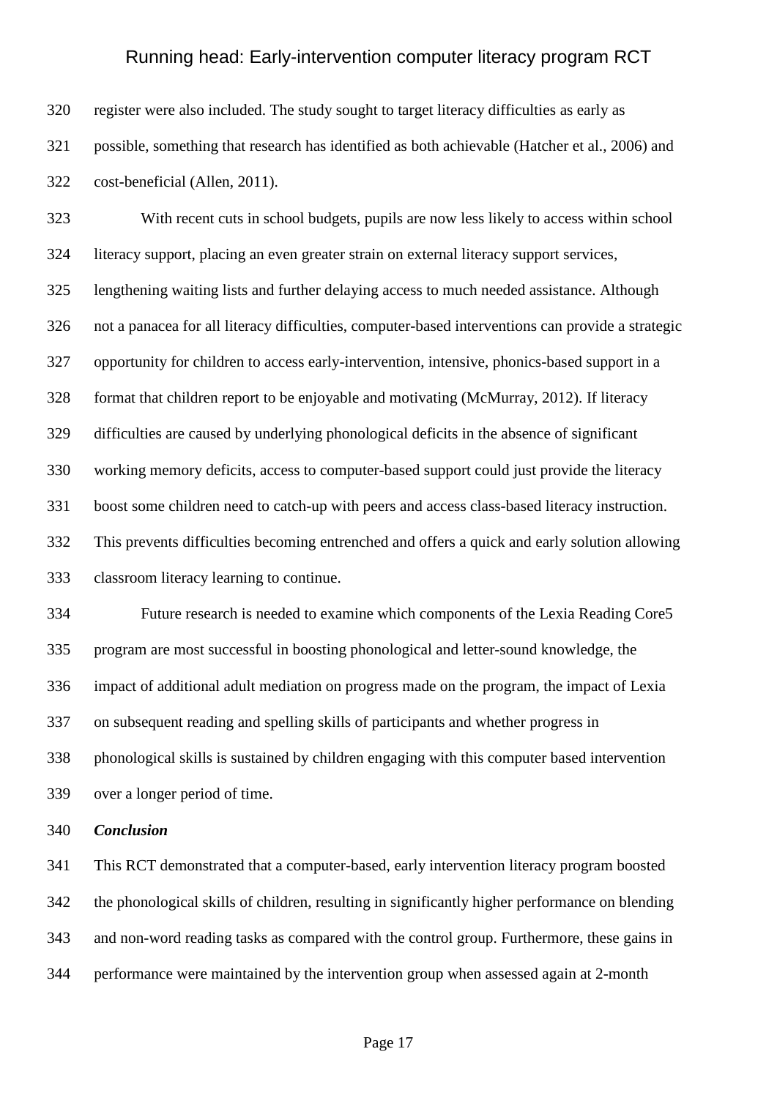register were also included. The study sought to target literacy difficulties as early as possible, something that research has identified as both achievable (Hatcher et al., 2006) and cost-beneficial (Allen, 2011).

 With recent cuts in school budgets, pupils are now less likely to access within school literacy support, placing an even greater strain on external literacy support services, lengthening waiting lists and further delaying access to much needed assistance. Although not a panacea for all literacy difficulties, computer-based interventions can provide a strategic opportunity for children to access early-intervention, intensive, phonics-based support in a format that children report to be enjoyable and motivating (McMurray, 2012). If literacy difficulties are caused by underlying phonological deficits in the absence of significant working memory deficits, access to computer-based support could just provide the literacy boost some children need to catch-up with peers and access class-based literacy instruction. This prevents difficulties becoming entrenched and offers a quick and early solution allowing classroom literacy learning to continue.

 Future research is needed to examine which components of the Lexia Reading Core5 program are most successful in boosting phonological and letter-sound knowledge, the impact of additional adult mediation on progress made on the program, the impact of Lexia on subsequent reading and spelling skills of participants and whether progress in phonological skills is sustained by children engaging with this computer based intervention over a longer period of time.

*Conclusion*

 This RCT demonstrated that a computer-based, early intervention literacy program boosted the phonological skills of children, resulting in significantly higher performance on blending and non-word reading tasks as compared with the control group. Furthermore, these gains in performance were maintained by the intervention group when assessed again at 2-month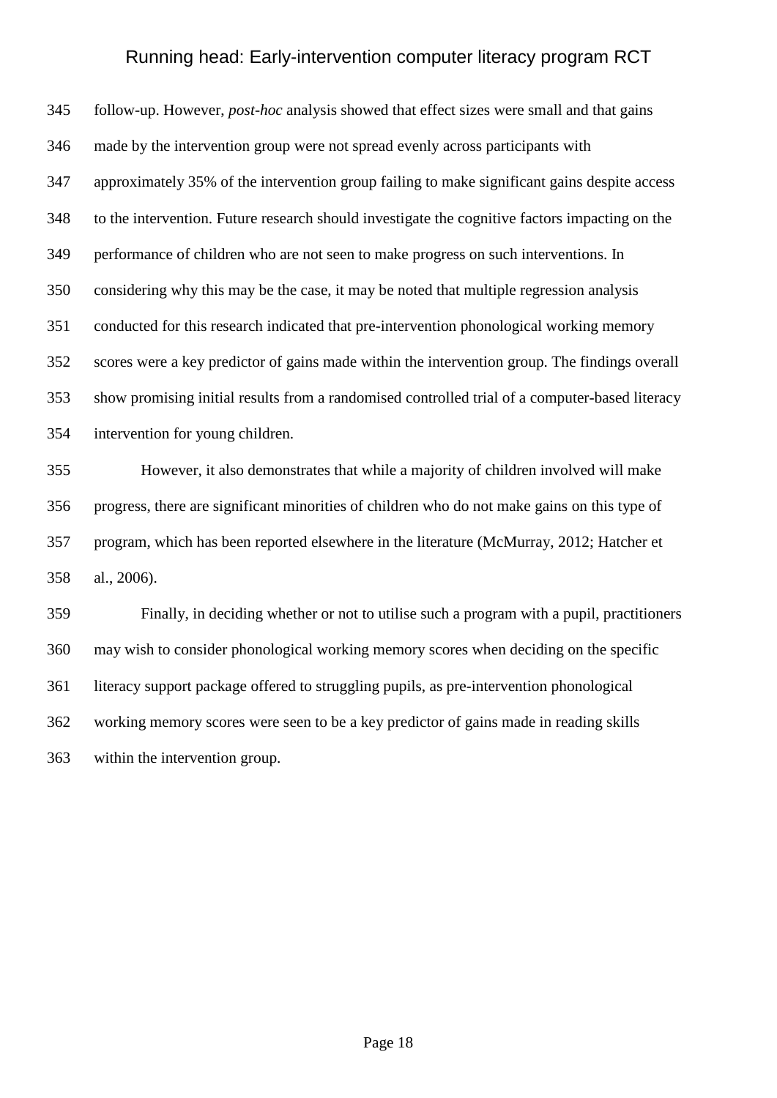follow-up. However, *post-hoc* analysis showed that effect sizes were small and that gains made by the intervention group were not spread evenly across participants with approximately 35% of the intervention group failing to make significant gains despite access to the intervention. Future research should investigate the cognitive factors impacting on the performance of children who are not seen to make progress on such interventions. In considering why this may be the case, it may be noted that multiple regression analysis conducted for this research indicated that pre-intervention phonological working memory scores were a key predictor of gains made within the intervention group. The findings overall show promising initial results from a randomised controlled trial of a computer-based literacy intervention for young children.

 However, it also demonstrates that while a majority of children involved will make progress, there are significant minorities of children who do not make gains on this type of program, which has been reported elsewhere in the literature (McMurray, 2012; Hatcher et al., 2006).

 Finally, in deciding whether or not to utilise such a program with a pupil, practitioners may wish to consider phonological working memory scores when deciding on the specific literacy support package offered to struggling pupils, as pre-intervention phonological working memory scores were seen to be a key predictor of gains made in reading skills within the intervention group.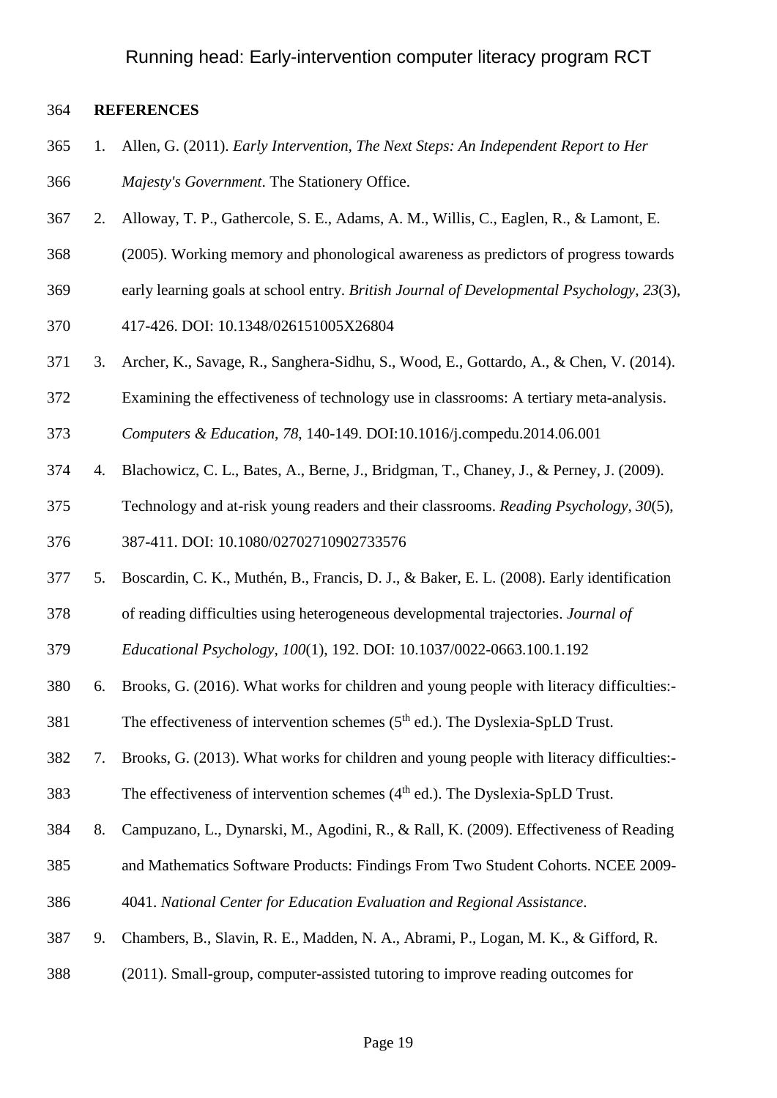### **REFERENCES**

- 1. Allen, G. (2011). *Early Intervention, The Next Steps: An Independent Report to Her Majesty's Government*. The Stationery Office.
- 2. Alloway, T. P., Gathercole, S. E., Adams, A. M., Willis, C., Eaglen, R., & Lamont, E.
- (2005). Working memory and phonological awareness as predictors of progress towards
- early learning goals at school entry. *British Journal of Developmental Psychology*, *23*(3),
- 417-426. DOI: 10.1348/026151005X26804
- 3. Archer, K., Savage, R., Sanghera-Sidhu, S., Wood, E., Gottardo, A., & Chen, V. (2014).
- Examining the effectiveness of technology use in classrooms: A tertiary meta-analysis.

*Computers & Education*, *78*, 140-149. [DOI:10.1016/j.compedu.2014.06.001](http://dx.doi.org/10.1016/j.compedu.2014.06.001)

- 4. Blachowicz, C. L., Bates, A., Berne, J., Bridgman, T., Chaney, J., & Perney, J. (2009).
- Technology and at-risk young readers and their classrooms. *Reading Psychology*, *30*(5),

387-411. DOI: 10.1080/02702710902733576

- 5. Boscardin, C. K., Muthén, B., Francis, D. J., & Baker, E. L. (2008). Early identification
- of reading difficulties using heterogeneous developmental trajectories. *Journal of*
- *Educational Psychology*, *100*(1), 192. DOI: [10.1037/0022-0663.100.1.192](http://psycnet.apa.org/doi/10.1037/0022-0663.100.1.192)
- 6. Brooks, G. (2016). What works for children and young people with literacy difficulties:-
- 381 The effectiveness of intervention schemes  $(5<sup>th</sup>$  ed.). The Dyslexia-SpLD Trust.

7. Brooks, G. (2013). What works for children and young people with literacy difficulties:-

383 The effectiveness of intervention schemes  $(4<sup>th</sup>$  ed.). The Dyslexia-SpLD Trust.

- 8. Campuzano, L., Dynarski, M., Agodini, R., & Rall, K. (2009). Effectiveness of Reading
- and Mathematics Software Products: Findings From Two Student Cohorts. NCEE 2009-
- 4041. *National Center for Education Evaluation and Regional Assistance*.
- 9. Chambers, B., Slavin, R. E., Madden, N. A., Abrami, P., Logan, M. K., & Gifford, R.
- (2011). Small-group, computer-assisted tutoring to improve reading outcomes for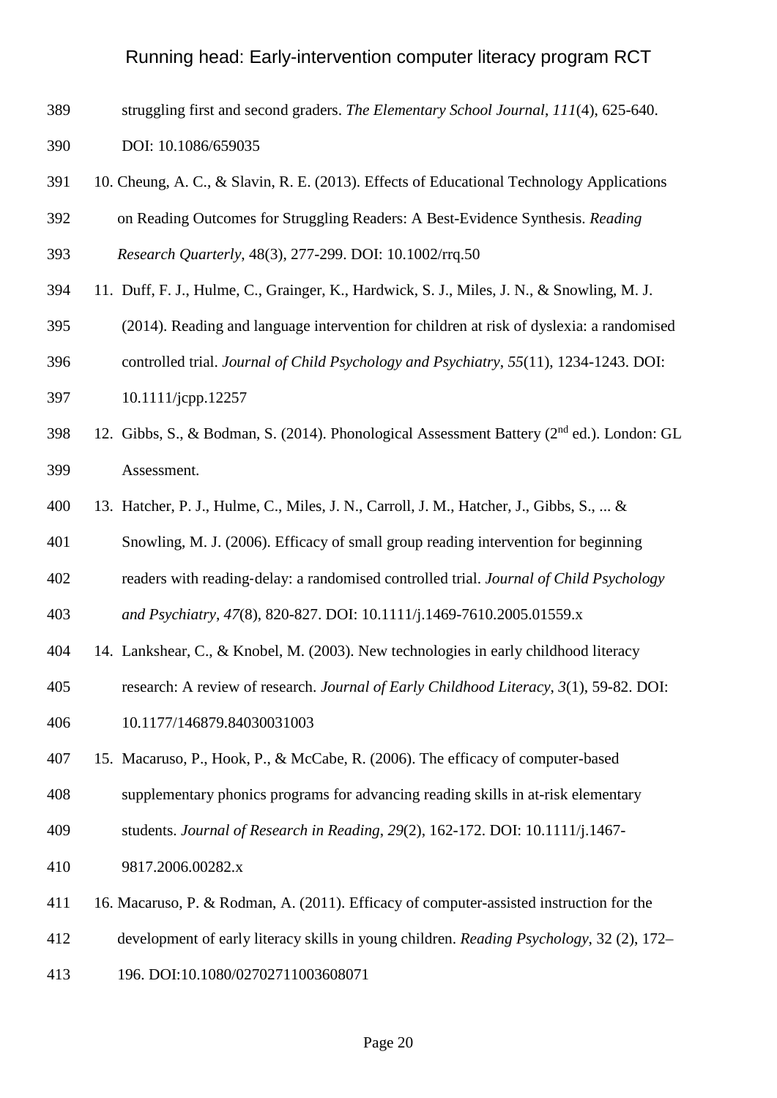- struggling first and second graders. *The Elementary School Journal*, *111*(4), 625-640.
- DOI: 10.1086/659035
- 10. Cheung, A. C., & Slavin, R. E. (2013). Effects of Educational Technology Applications
- on Reading Outcomes for Struggling Readers: A Best-Evidence Synthesis. *Reading*

*Research Quarterly*, 48(3), 277-299. DOI: 10.1002/rrq.50

- 11. Duff, F. J., Hulme, C., Grainger, K., Hardwick, S. J., Miles, J. N., & Snowling, M. J.
- (2014). Reading and language intervention for children at risk of dyslexia: a randomised
- controlled trial. *Journal of Child Psychology and Psychiatry*, *55*(11), 1234-1243. DOI:
- 10.1111/jcpp.12257
- 398 12. Gibbs, S., & Bodman, S. (2014). Phonological Assessment Battery ( $2<sup>nd</sup>$  ed.). London: GL Assessment.
- 13. Hatcher, P. J., Hulme, C., Miles, J. N., Carroll, J. M., Hatcher, J., Gibbs, S., ... &
- Snowling, M. J. (2006). Efficacy of small group reading intervention for beginning
- readers with reading‐delay: a randomised controlled trial. *Journal of Child Psychology*

*and Psychiatry*, *47*(8), 820-827. DOI: 10.1111/j.1469-7610.2005.01559.x

- 14. Lankshear, C., & Knobel, M. (2003). New technologies in early childhood literacy
- research: A review of research. *Journal of Early Childhood Literacy*, *3*(1), 59-82. DOI:
- 10.1177/146879.84030031003
- 15. Macaruso, P., Hook, P., & McCabe, R. (2006). The efficacy of computer-based
- supplementary phonics programs for advancing reading skills in at-risk elementary
- students. *Journal of Research in Reading*, *29*(2), 162-172. DOI: 10.1111/j.1467-
- 9817.2006.00282.x
- 16. Macaruso, P. & Rodman, A. (2011). Efficacy of computer-assisted instruction for the
- development of early literacy skills in young children. *Reading Psychology*, 32 (2), 172–
- 196. DOI:10.1080/02702711003608071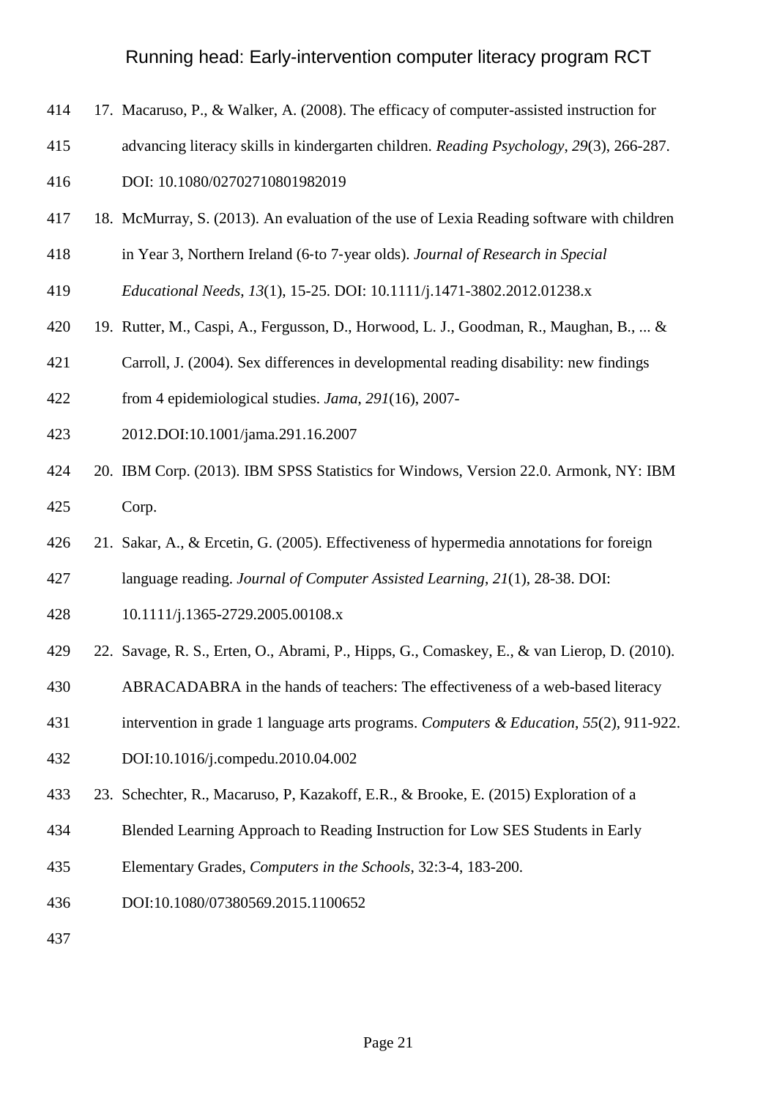- 17. Macaruso, P., & Walker, A. (2008). The efficacy of computer-assisted instruction for
- advancing literacy skills in kindergarten children. *Reading Psychology*, *29*(3), 266-287.

DOI: 10.1080/02702710801982019

- 18. McMurray, S. (2013). An evaluation of the use of Lexia Reading software with children
- in Year 3, Northern Ireland (6‐to 7‐year olds). *Journal of Research in Special*
- *Educational Needs*, *13*(1), 15-25. DOI: 10.1111/j.1471-3802.2012.01238.x
- 19. Rutter, M., Caspi, A., Fergusson, D., Horwood, L. J., Goodman, R., Maughan, B., ... &
- Carroll, J. (2004). Sex differences in developmental reading disability: new findings
- from 4 epidemiological studies. *Jama*, *291*(16), 2007-
- 2012.DOI:10.1001/jama.291.16.2007
- 20. IBM Corp. (2013). IBM SPSS Statistics for Windows, Version 22.0. Armonk, NY: IBM Corp.
- 21. Sakar, A., & Ercetin, G. (2005). Effectiveness of hypermedia annotations for foreign

language reading. *Journal of Computer Assisted Learning*, *21*(1), 28-38. DOI:

- 10.1111/j.1365-2729.2005.00108.x
- 22. Savage, R. S., Erten, O., Abrami, P., Hipps, G., Comaskey, E., & van Lierop, D. (2010).
- ABRACADABRA in the hands of teachers: The effectiveness of a web-based literacy
- intervention in grade 1 language arts programs. *Computers & Education*, *55*(2), 911-922.
- [DOI:10.1016/j.compedu.2010.04.002](http://dx.doi.org/10.1016/j.compedu.2010.04.002)
- 23. Schechter, R., Macaruso, P, Kazakoff, E.R., & Brooke, E. (2015) Exploration of a
- Blended Learning Approach to Reading Instruction for Low SES Students in Early
- Elementary Grades, *Computers in the Schools*, 32:3-4, 183-200.
- DOI:10.1080/07380569.2015.1100652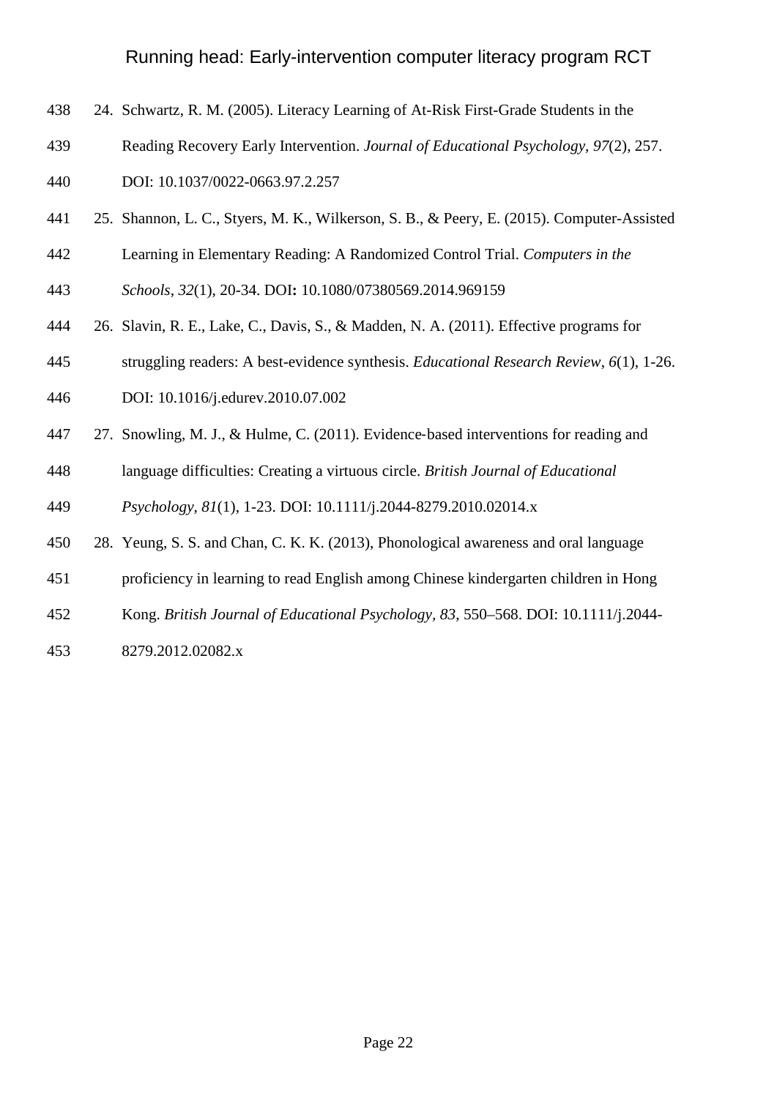- 24. Schwartz, R. M. (2005). Literacy Learning of At-Risk First-Grade Students in the
- Reading Recovery Early Intervention. *Journal of Educational Psychology*, *97*(2), 257.

DOI: [10.1037/0022-0663.97.2.257](http://psycnet.apa.org/doi/10.1037/0022-0663.97.2.257)

- 25. Shannon, L. C., Styers, M. K., Wilkerson, S. B., & Peery, E. (2015). Computer-Assisted
- Learning in Elementary Reading: A Randomized Control Trial. *Computers in the*
- *Schools*, *32*(1), 20-34. DOI**:** 10.1080/07380569.2014.969159
- 26. Slavin, R. E., Lake, C., Davis, S., & Madden, N. A. (2011). Effective programs for
- struggling readers: A best-evidence synthesis. *Educational Research Review*, *6*(1), 1-26.
- [DOI: 10.1016/j.edurev.2010.07.002](http://dx.doi.org/10.1016/j.edurev.2010.07.002)
- 447 27. Snowling, M. J., & Hulme, C. (2011). Evidence-based interventions for reading and
- language difficulties: Creating a virtuous circle. *British Journal of Educational*

*Psychology*, *81*(1), 1-23. DOI: 10.1111/j.2044-8279.2010.02014.x

- 28. Yeung, S. S. and Chan, C. K. K. (2013), Phonological awareness and oral language
- proficiency in learning to read English among Chinese kindergarten children in Hong
- Kong. *British Journal of Educational Psychology, 83*, 550–568. DOI: 10.1111/j.2044-
- 8279.2012.02082.x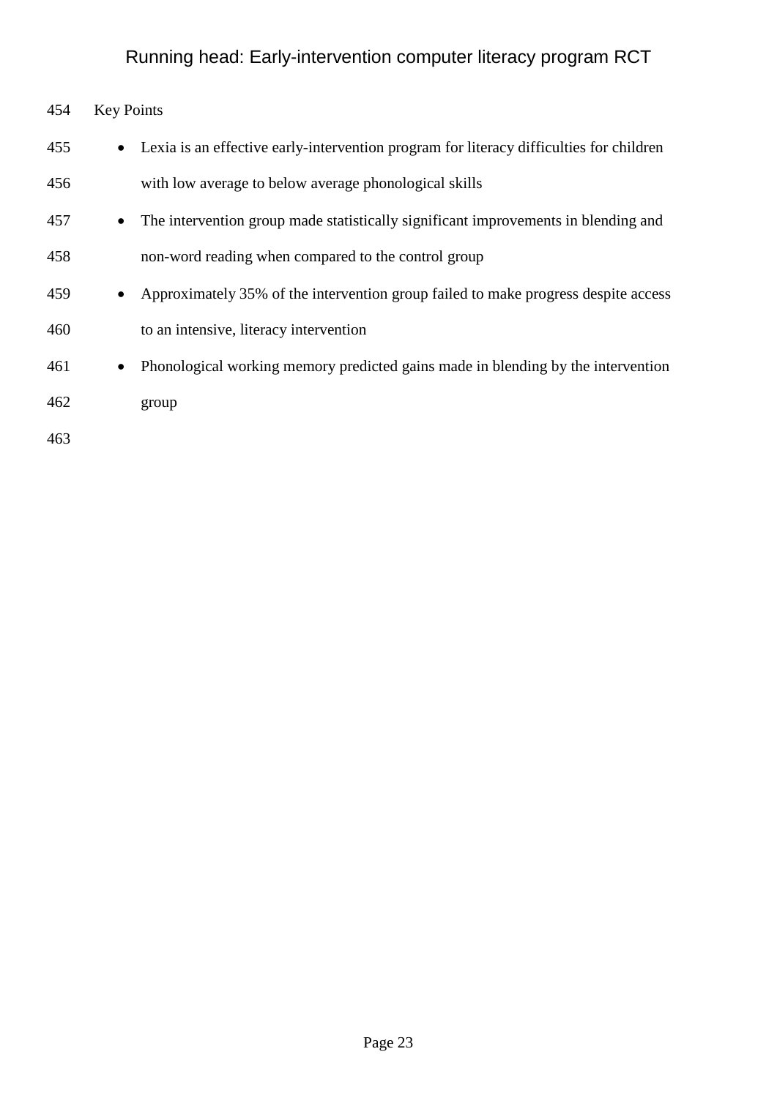| 454 | <b>Key Points</b> |                                                                                         |
|-----|-------------------|-----------------------------------------------------------------------------------------|
| 455 | $\bullet$         | Lexia is an effective early-intervention program for literacy difficulties for children |
| 456 |                   | with low average to below average phonological skills                                   |
| 457 | $\bullet$         | The intervention group made statistically significant improvements in blending and      |
| 458 |                   | non-word reading when compared to the control group                                     |
| 459 |                   | Approximately 35% of the intervention group failed to make progress despite access      |
| 460 |                   | to an intensive, literacy intervention                                                  |
| 461 | $\bullet$         | Phonological working memory predicted gains made in blending by the intervention        |
| 462 |                   | group                                                                                   |
| 463 |                   |                                                                                         |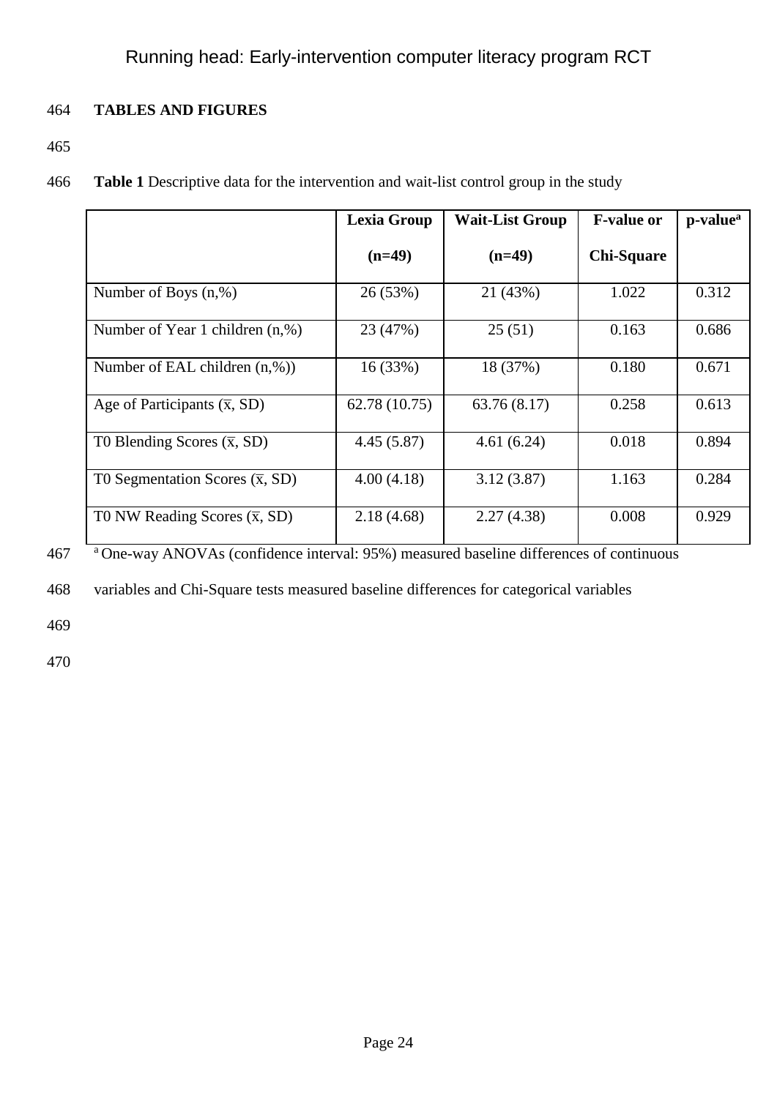## 464 **TABLES AND FIGURES**

- 465
- 466 **Table 1** Descriptive data for the intervention and wait-list control group in the study

|                                             | <b>Lexia Group</b> | <b>Wait-List Group</b> | <b>F-value or</b> | p-value <sup>a</sup> |
|---------------------------------------------|--------------------|------------------------|-------------------|----------------------|
|                                             | $(n=49)$           | $(n=49)$               | <b>Chi-Square</b> |                      |
| Number of Boys $(n, %)$                     | 26 (53%)           | 21 (43%)               | 1.022             | 0.312                |
| Number of Year 1 children $(n, %)$          | 23 (47%)           | 25(51)                 | 0.163             | 0.686                |
| Number of EAL children $(n, \%)$            | 16(33%)            | 18 (37%)               | 0.180             | 0.671                |
| Age of Participants $(\overline{x}, SD)$    | 62.78 (10.75)      | 63.76(8.17)            | 0.258             | 0.613                |
| T0 Blending Scores $(\overline{x}, SD)$     | 4.45(5.87)         | 4.61(6.24)             | 0.018             | 0.894                |
| TO Segmentation Scores $(\overline{x}, SD)$ | 4.00(4.18)         | 3.12(3.87)             | 1.163             | 0.284                |
| TO NW Reading Scores $(\overline{x}, SD)$   | 2.18(4.68)         | 2.27(4.38)             | 0.008             | 0.929                |

a 467 One-way ANOVAs (confidence interval: 95%) measured baseline differences of continuous

468 variables and Chi-Square tests measured baseline differences for categorical variables

469

470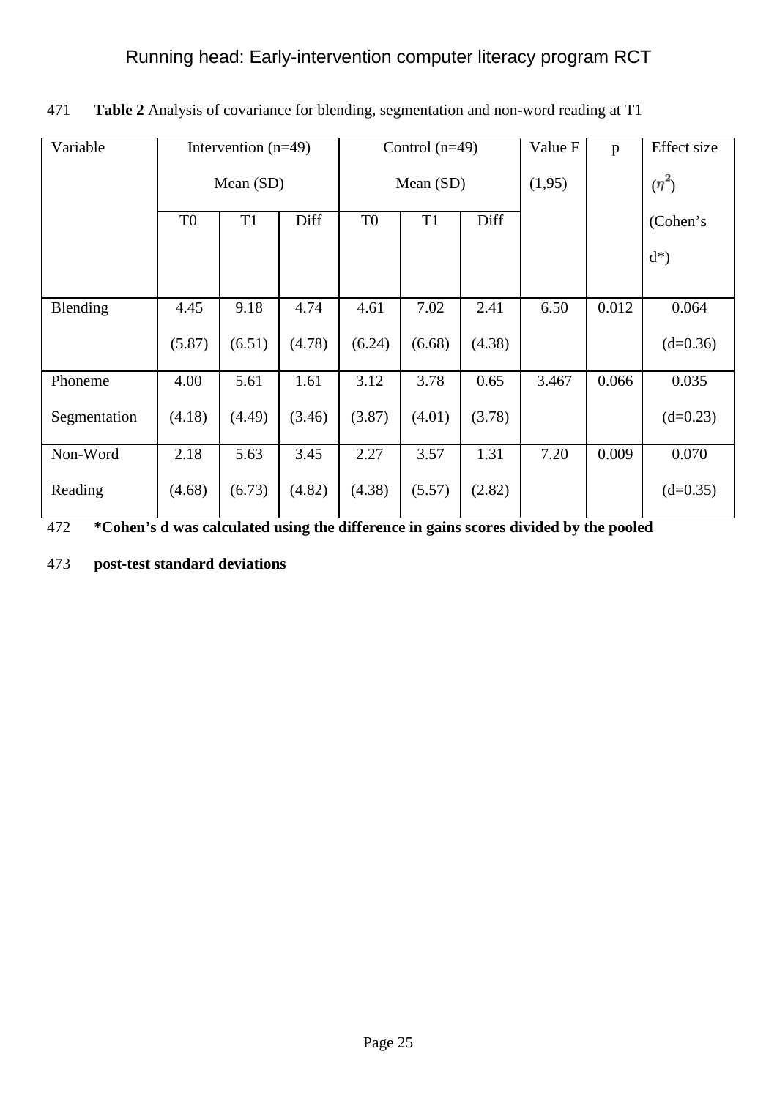| Variable     | Intervention $(n=49)$                    |        |                | Control $(n=49)$       |        |        | Value F | p        | <b>Effect</b> size |
|--------------|------------------------------------------|--------|----------------|------------------------|--------|--------|---------|----------|--------------------|
|              | Mean (SD)                                |        |                | Mean (SD)              |        |        | (1,95)  |          | $(\eta^2)$         |
|              | Diff<br>T <sub>1</sub><br>T <sub>0</sub> |        | T <sub>0</sub> | T <sub>1</sub><br>Diff |        |        |         | (Cohen's |                    |
|              |                                          |        |                |                        |        |        |         |          | $d^*)$             |
| Blending     | 4.45                                     | 9.18   | 4.74           | 4.61                   | 7.02   | 2.41   | 6.50    | 0.012    | 0.064              |
|              | (5.87)                                   | (6.51) | (4.78)         | (6.24)                 | (6.68) | (4.38) |         |          | $(d=0.36)$         |
| Phoneme      | 4.00                                     | 5.61   | 1.61           | 3.12                   | 3.78   | 0.65   | 3.467   | 0.066    | 0.035              |
| Segmentation | (4.18)                                   | (4.49) | (3.46)         | (3.87)                 | (4.01) | (3.78) |         |          | $(d=0.23)$         |
| Non-Word     | 2.18                                     | 5.63   | 3.45           | 2.27                   | 3.57   | 1.31   | 7.20    | 0.009    | 0.070              |
| Reading      | (4.68)                                   | (6.73) | (4.82)         | (4.38)                 | (5.57) | (2.82) |         |          | $(d=0.35)$         |

471 **Table 2** Analysis of covariance for blending, segmentation and non-word reading at T1

472 **\*Cohen's d was calculated using the difference in gains scores divided by the pooled** 

473 **post-test standard deviations**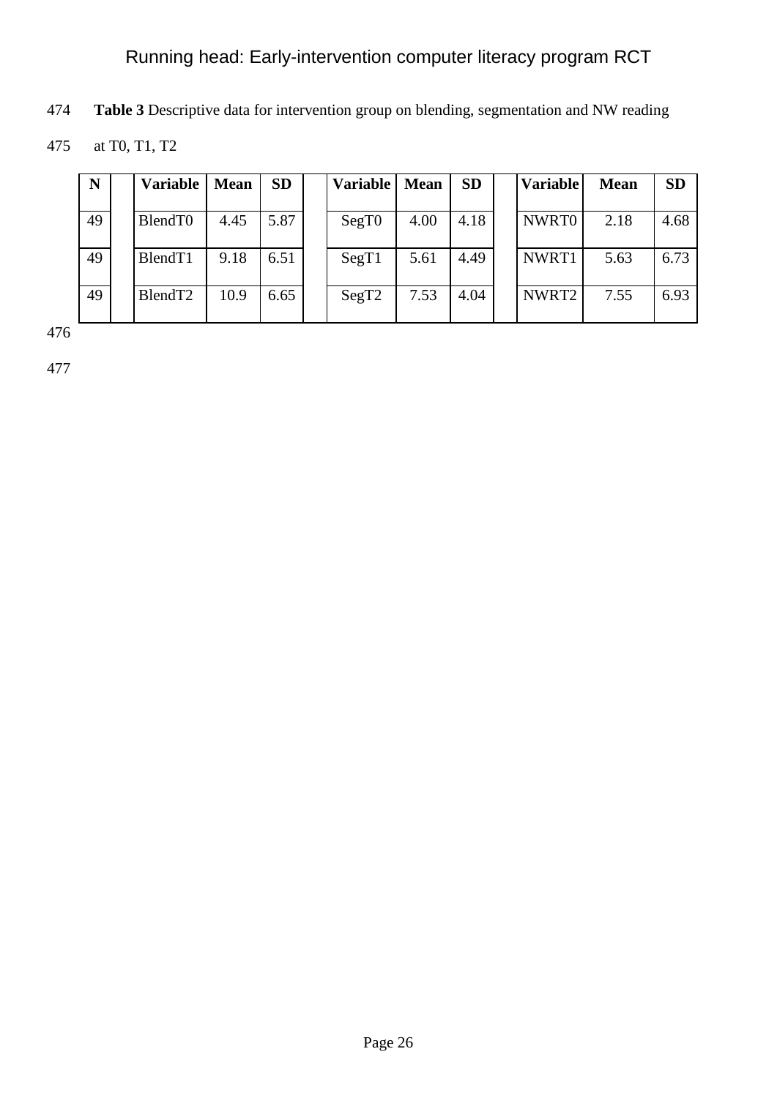**Table 3** Descriptive data for intervention group on blending, segmentation and NW reading

at T0, T1, T2

| N  | <b>Variable</b>     | <b>Mean</b> | <b>SD</b> | Variable | <b>Mean</b> | <b>SD</b> | <b>Variable</b>   | <b>Mean</b> | <b>SD</b> |
|----|---------------------|-------------|-----------|----------|-------------|-----------|-------------------|-------------|-----------|
| 49 | BlendT0             | 4.45        | 5.87      | SegT0    | 4.00        | 4.18      | NWRT0             | 2.18        | 4.68      |
| 49 | BlendT1             | 9.18        | 6.51      | SegT1    | 5.61        | 4.49      | NWRT1             | 5.63        | 6.73      |
| 49 | BlendT <sub>2</sub> | 10.9        | 6.65      | SegT2    | 7.53        | 4.04      | NWRT <sub>2</sub> | 7.55        | 6.93      |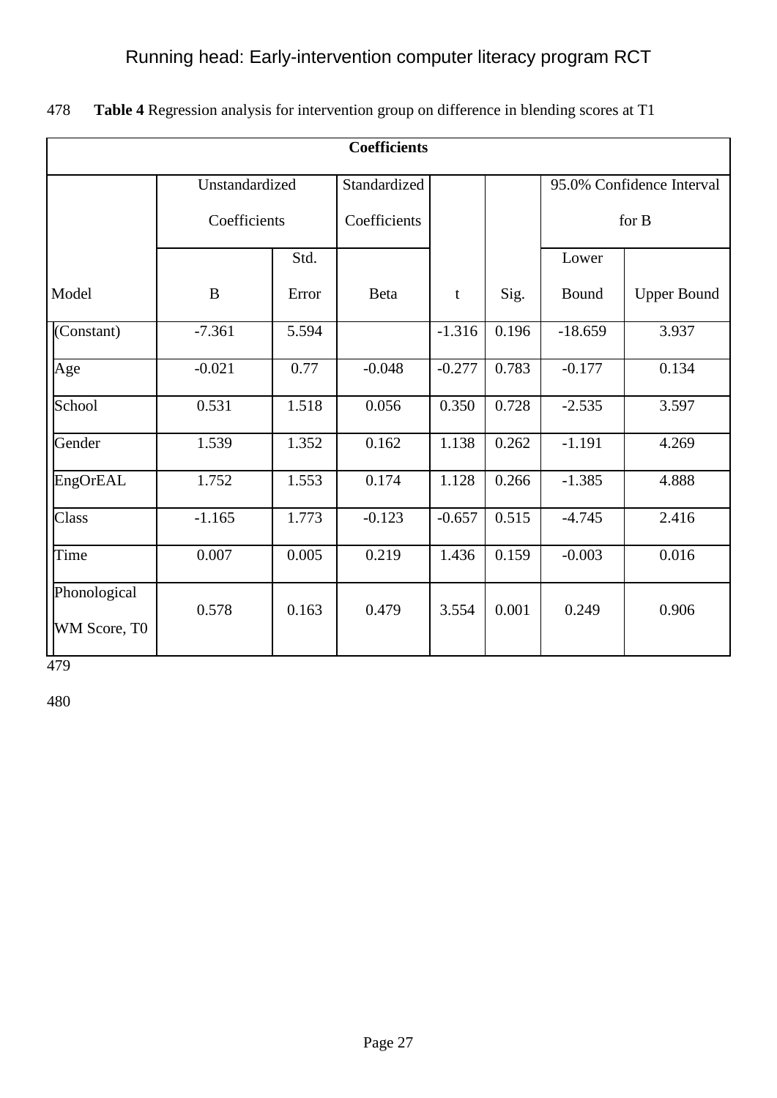| <b>Coefficients</b>          |                |       |              |          |       |           |                           |  |  |  |
|------------------------------|----------------|-------|--------------|----------|-------|-----------|---------------------------|--|--|--|
|                              |                |       |              |          |       |           |                           |  |  |  |
|                              | Unstandardized |       | Standardized |          |       |           | 95.0% Confidence Interval |  |  |  |
|                              | Coefficients   |       | Coefficients |          |       |           | for B                     |  |  |  |
|                              |                | Std.  |              |          |       | Lower     |                           |  |  |  |
| Model                        | $\bf{B}$       | Error | Beta         | t        | Sig.  | Bound     | <b>Upper Bound</b>        |  |  |  |
| (Constant)                   | $-7.361$       | 5.594 |              | $-1.316$ | 0.196 | $-18.659$ | 3.937                     |  |  |  |
| Age                          | $-0.021$       | 0.77  | $-0.048$     | $-0.277$ | 0.783 | $-0.177$  | 0.134                     |  |  |  |
| School                       | 0.531          | 1.518 | 0.056        | 0.350    | 0.728 | $-2.535$  | 3.597                     |  |  |  |
| Gender                       | 1.539          | 1.352 | 0.162        | 1.138    | 0.262 | $-1.191$  | 4.269                     |  |  |  |
| EngOrEAL                     | 1.752          | 1.553 | 0.174        | 1.128    | 0.266 | $-1.385$  | 4.888                     |  |  |  |
| Class                        | $-1.165$       | 1.773 | $-0.123$     | $-0.657$ | 0.515 | $-4.745$  | 2.416                     |  |  |  |
| Time                         | 0.007          | 0.005 | 0.219        | 1.436    | 0.159 | $-0.003$  | 0.016                     |  |  |  |
| Phonological<br>WM Score, T0 | 0.578          | 0.163 | 0.479        | 3.554    | 0.001 | 0.249     | 0.906                     |  |  |  |

478 **Table 4** Regression analysis for intervention group on difference in blending scores at T1

479

480